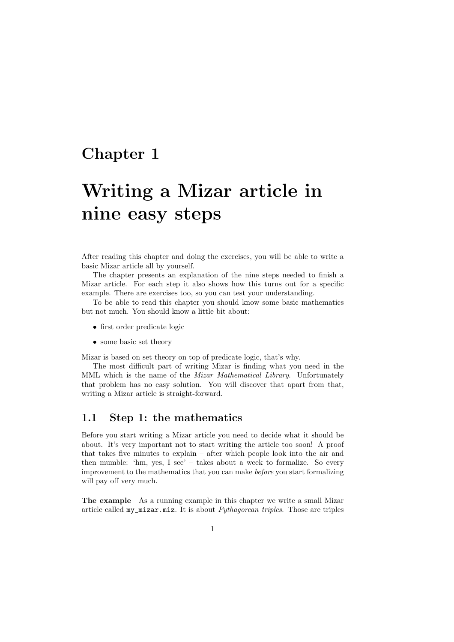## Chapter 1

# Writing a Mizar article in nine easy steps

After reading this chapter and doing the exercises, you will be able to write a basic Mizar article all by yourself.

The chapter presents an explanation of the nine steps needed to finish a Mizar article. For each step it also shows how this turns out for a specific example. There are exercises too, so you can test your understanding.

To be able to read this chapter you should know some basic mathematics but not much. You should know a little bit about:

- first order predicate logic
- some basic set theory

Mizar is based on set theory on top of predicate logic, that's why.

The most difficult part of writing Mizar is finding what you need in the MML which is the name of the *Mizar Mathematical Library*. Unfortunately that problem has no easy solution. You will discover that apart from that, writing a Mizar article is straight-forward.

#### 1.1 Step 1: the mathematics

Before you start writing a Mizar article you need to decide what it should be about. It's very important not to start writing the article too soon! A proof that takes five minutes to explain – after which people look into the air and then mumble: 'hm, yes, I see' – takes about a week to formalize. So every improvement to the mathematics that you can make before you start formalizing will pay off very much.

The example As a running example in this chapter we write a small Mizar article called  $my\_mizar.miz$ . It is about *Pythagorean triples*. Those are triples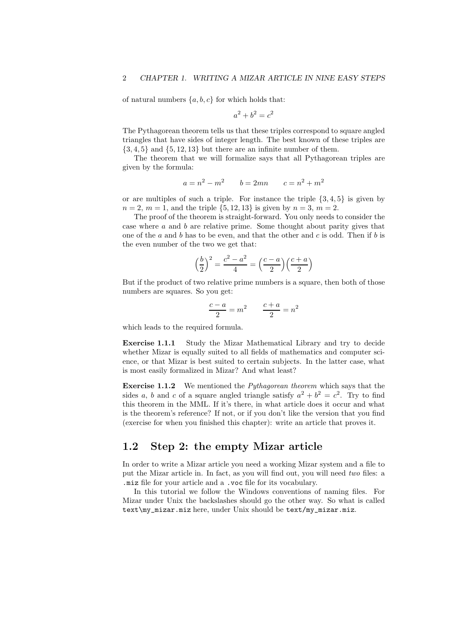of natural numbers  $\{a, b, c\}$  for which holds that:

$$
a^2 + b^2 = c^2
$$

The Pythagorean theorem tells us that these triples correspond to square angled triangles that have sides of integer length. The best known of these triples are  $\{3, 4, 5\}$  and  $\{5, 12, 13\}$  but there are an infinite number of them.

The theorem that we will formalize says that all Pythagorean triples are given by the formula:

$$
a = n2 - m2
$$
  $b = 2mn$   $c = n2 + m2$ 

or are multiples of such a triple. For instance the triple  $\{3, 4, 5\}$  is given by  $n = 2, m = 1$ , and the triple  $\{5, 12, 13\}$  is given by  $n = 3, m = 2$ .

The proof of the theorem is straight-forward. You only needs to consider the case where a and b are relative prime. Some thought about parity gives that one of the  $a$  and  $b$  has to be even, and that the other and  $c$  is odd. Then if  $b$  is the even number of the two we get that:

$$
\left(\frac{b}{2}\right)^2 = \frac{c^2 - a^2}{4} = \left(\frac{c-a}{2}\right)\left(\frac{c+a}{2}\right)
$$

But if the product of two relative prime numbers is a square, then both of those numbers are squares. So you get:

$$
\frac{c-a}{2} = m^2 \qquad \frac{c+a}{2} = n^2
$$

which leads to the required formula.

Exercise 1.1.1 Study the Mizar Mathematical Library and try to decide whether Mizar is equally suited to all fields of mathematics and computer science, or that Mizar is best suited to certain subjects. In the latter case, what is most easily formalized in Mizar? And what least?

Exercise 1.1.2 We mentioned the Pythagorean theorem which says that the sides a, b and c of a square angled triangle satisfy  $a^2 + b^2 = c^2$ . Try to find this theorem in the MML. If it's there, in what article does it occur and what is the theorem's reference? If not, or if you don't like the version that you find (exercise for when you finished this chapter): write an article that proves it.

## 1.2 Step 2: the empty Mizar article

In order to write a Mizar article you need a working Mizar system and a file to put the Mizar article in. In fact, as you will find out, you will need two files: a .miz file for your article and a .voc file for its vocabulary.

In this tutorial we follow the Windows conventions of naming files. For Mizar under Unix the backslashes should go the other way. So what is called text\my\_mizar.miz here, under Unix should be text/my\_mizar.miz.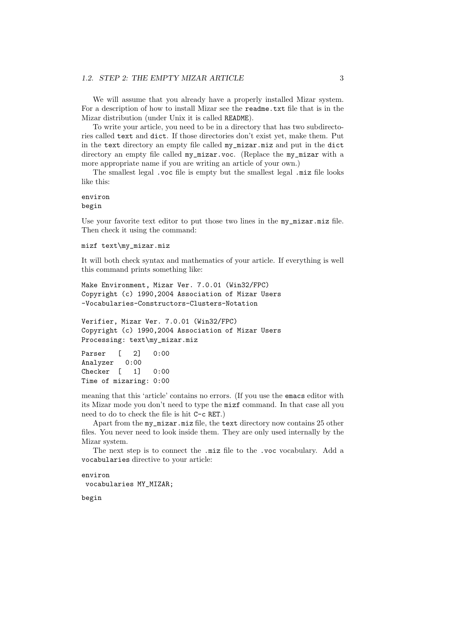#### 1.2. STEP 2: THE EMPTY MIZAR ARTICLE 3

We will assume that you already have a properly installed Mizar system. For a description of how to install Mizar see the readme.txt file that is in the Mizar distribution (under Unix it is called README).

To write your article, you need to be in a directory that has two subdirectories called text and dict. If those directories don't exist yet, make them. Put in the text directory an empty file called my\_mizar.miz and put in the dict directory an empty file called my\_mizar.voc. (Replace the my\_mizar with a more appropriate name if you are writing an article of your own.)

The smallest legal .voc file is empty but the smallest legal .miz file looks like this:

environ begin

Use your favorite text editor to put those two lines in the my\_mizar.miz file. Then check it using the command:

#### mizf text\my\_mizar.miz

It will both check syntax and mathematics of your article. If everything is well this command prints something like:

```
Make Environment, Mizar Ver. 7.0.01 (Win32/FPC)
Copyright (c) 1990,2004 Association of Mizar Users
-Vocabularies-Constructors-Clusters-Notation
```

```
Verifier, Mizar Ver. 7.0.01 (Win32/FPC)
Copyright (c) 1990,2004 Association of Mizar Users
Processing: text\my_mizar.miz
```
Parser [ 2] 0:00 Analyzer 0:00 Checker [ 1] 0:00 Time of mizaring: 0:00

meaning that this 'article' contains no errors. (If you use the emacs editor with its Mizar mode you don't need to type the mizf command. In that case all you need to do to check the file is hit C-c RET.)

Apart from the my\_mizar.miz file, the text directory now contains 25 other files. You never need to look inside them. They are only used internally by the Mizar system.

The next step is to connect the .miz file to the .voc vocabulary. Add a vocabularies directive to your article:

environ vocabularies MY\_MIZAR;

begin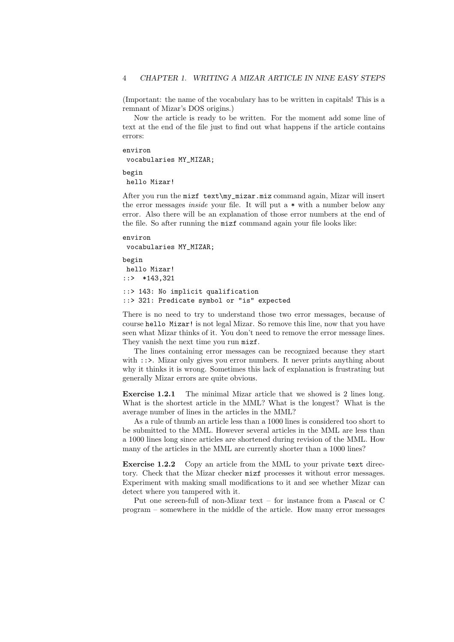(Important: the name of the vocabulary has to be written in capitals! This is a remnant of Mizar's DOS origins.)

Now the article is ready to be written. For the moment add some line of text at the end of the file just to find out what happens if the article contains errors:

```
environ
vocabularies MY_MIZAR;
```
begin hello Mizar!

After you run the mizf text\my\_mizar.miz command again, Mizar will insert the error messages inside your file. It will put a \* with a number below any error. Also there will be an explanation of those error numbers at the end of the file. So after running the mizf command again your file looks like:

```
environ
```

```
vocabularies MY_MIZAR;
begin
hello Mizar!
::> *143,321
::> 143: No implicit qualification
::> 321: Predicate symbol or "is" expected
```
There is no need to try to understand those two error messages, because of course hello Mizar! is not legal Mizar. So remove this line, now that you have seen what Mizar thinks of it. You don't need to remove the error message lines. They vanish the next time you run mizf.

The lines containing error messages can be recognized because they start with :: >. Mizar only gives you error numbers. It never prints anything about why it thinks it is wrong. Sometimes this lack of explanation is frustrating but generally Mizar errors are quite obvious.

Exercise 1.2.1 The minimal Mizar article that we showed is 2 lines long. What is the shortest article in the MML? What is the longest? What is the average number of lines in the articles in the MML?

As a rule of thumb an article less than a 1000 lines is considered too short to be submitted to the MML. However several articles in the MML are less than a 1000 lines long since articles are shortened during revision of the MML. How many of the articles in the MML are currently shorter than a 1000 lines?

Exercise 1.2.2 Copy an article from the MML to your private text directory. Check that the Mizar checker mizf processes it without error messages. Experiment with making small modifications to it and see whether Mizar can detect where you tampered with it.

Put one screen-full of non-Mizar text – for instance from a Pascal or C program – somewhere in the middle of the article. How many error messages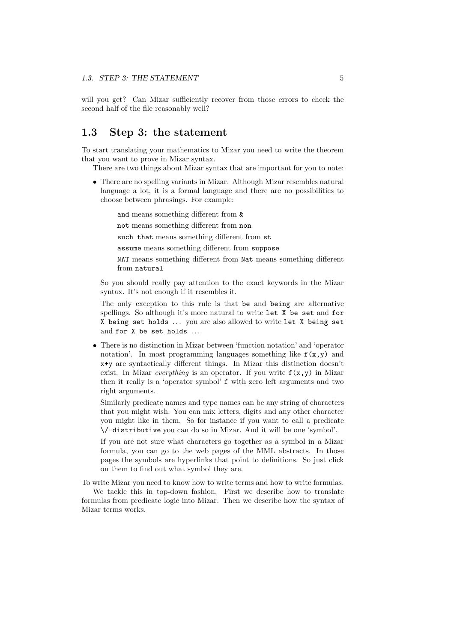will you get? Can Mizar sufficiently recover from those errors to check the second half of the file reasonably well?

## 1.3 Step 3: the statement

To start translating your mathematics to Mizar you need to write the theorem that you want to prove in Mizar syntax.

There are two things about Mizar syntax that are important for you to note:

• There are no spelling variants in Mizar. Although Mizar resembles natural language a lot, it is a formal language and there are no possibilities to choose between phrasings. For example:

and means something different from &

not means something different from non

such that means something different from st

assume means something different from suppose

NAT means something different from Nat means something different from natural

So you should really pay attention to the exact keywords in the Mizar syntax. It's not enough if it resembles it.

The only exception to this rule is that be and being are alternative spellings. So although it's more natural to write let X be set and for X being set holds ... you are also allowed to write let X being set and for X be set holds ...

• There is no distinction in Mizar between 'function notation' and 'operator notation'. In most programming languages something like  $f(x,y)$  and x+y are syntactically different things. In Mizar this distinction doesn't exist. In Mizar *everything* is an operator. If you write  $f(x,y)$  in Mizar then it really is a 'operator symbol' f with zero left arguments and two right arguments.

Similarly predicate names and type names can be any string of characters that you might wish. You can mix letters, digits and any other character you might like in them. So for instance if you want to call a predicate \/-distributive you can do so in Mizar. And it will be one 'symbol'.

If you are not sure what characters go together as a symbol in a Mizar formula, you can go to the web pages of the MML abstracts. In those pages the symbols are hyperlinks that point to definitions. So just click on them to find out what symbol they are.

To write Mizar you need to know how to write terms and how to write formulas. We tackle this in top-down fashion. First we describe how to translate formulas from predicate logic into Mizar. Then we describe how the syntax of Mizar terms works.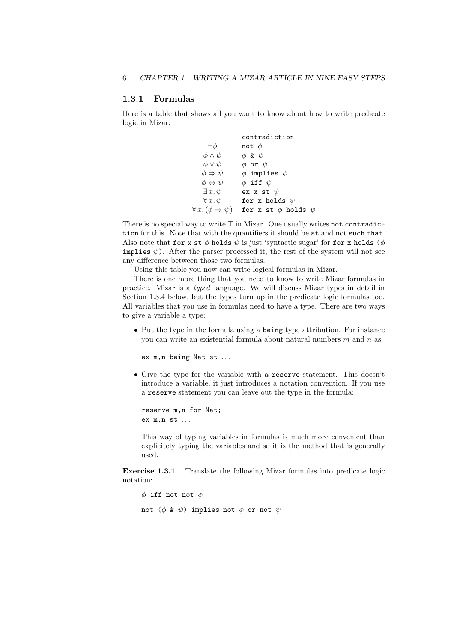#### 1.3.1 Formulas

Here is a table that shows all you want to know about how to write predicate logic in Mizar:

> $\perp$  contradiction<br> $\neg \phi$  not  $\phi$  $\neg \phi$  not  $\phi$ <br>  $\phi \land \psi$   $\phi$  &  $\psi$  $\begin{array}{ccc} \phi \wedge \psi & \phi \& \psi \\ \phi \vee \psi & \phi \text{ or } v \end{array}$  $\phi \lor \psi$   $\phi$  or  $\psi$ <br>  $\phi \Rightarrow \psi$   $\phi$  impli  $\begin{array}{ccc}\n\phi \Rightarrow \psi & \phi \text{ implies } \psi \\
> \phi \Leftrightarrow \psi & \phi \text{ iff } \psi\n\end{array}$  $\begin{array}{ccc}\n\phi \Leftrightarrow \psi & \phi \text{ iff } \psi \\
> \exists x.\psi & \text{ex x st}\n\end{array}$  $\exists x.\psi$  ex x st  $\psi$ <br>  $\forall x.\psi$  for x hole for x holds  $\psi$  $\forall x.(\phi \Rightarrow \psi)$  for x st  $\phi$  holds  $\psi$

There is no special way to write ⊤ in Mizar. One usually writes not contradiction for this. Note that with the quantifiers it should be st and not such that. Also note that for x st  $\phi$  holds  $\psi$  is just 'syntactic sugar' for for x holds ( $\phi$ implies  $\psi$ ). After the parser processed it, the rest of the system will not see any difference between those two formulas.

Using this table you now can write logical formulas in Mizar.

There is one more thing that you need to know to write Mizar formulas in practice. Mizar is a typed language. We will discuss Mizar types in detail in Section 1.3.4 below, but the types turn up in the predicate logic formulas too. All variables that you use in formulas need to have a type. There are two ways to give a variable a type:

• Put the type in the formula using a being type attribution. For instance you can write an existential formula about natural numbers  $m$  and  $n$  as:

ex m,n being Nat st ...

• Give the type for the variable with a reserve statement. This doesn't introduce a variable, it just introduces a notation convention. If you use a reserve statement you can leave out the type in the formula:

reserve m,n for Nat; ex m, n st ...

This way of typing variables in formulas is much more convenient than explicitely typing the variables and so it is the method that is generally used.

Exercise 1.3.1 Translate the following Mizar formulas into predicate logic notation:

 $\phi$  iff not not  $\phi$ not  $(\phi \And \psi)$  implies not  $\phi$  or not  $\psi$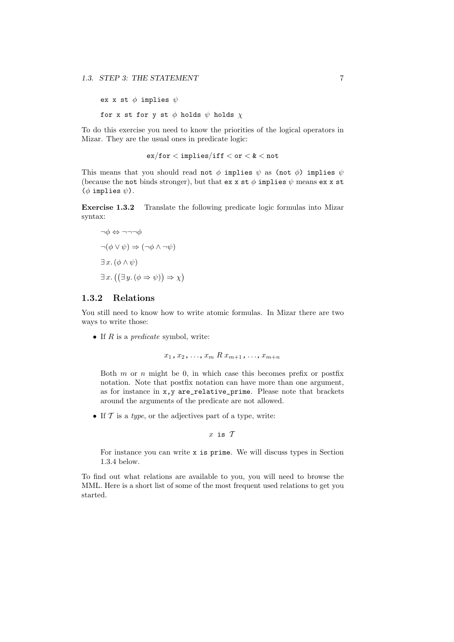1.3. STEP 3: THE STATEMENT 7

ex x st  $\phi$  implies  $\psi$ for x st for y st  $\phi$  holds  $\psi$  holds  $\chi$ 

To do this exercise you need to know the priorities of the logical operators in Mizar. They are the usual ones in predicate logic:

 $ex/for$ 

This means that you should read not  $\phi$  implies  $\psi$  as (not  $\phi$ ) implies  $\psi$ (because the not binds stronger), but that  $ex \times st \phi$  implies  $\psi$  means  $ex \times st$  $(\phi$  implies  $\psi$ ).

Exercise 1.3.2 Translate the following predicate logic formulas into Mizar syntax:

$$
\neg \phi \Leftrightarrow \neg \neg \neg \phi
$$
  
\n
$$
\neg (\phi \lor \psi) \Rightarrow (\neg \phi \land \neg \psi)
$$
  
\n
$$
\exists x. (\phi \land \psi)
$$
  
\n
$$
\exists x. ((\exists y. (\phi \Rightarrow \psi)) \Rightarrow \chi)
$$

#### 1.3.2 Relations

You still need to know how to write atomic formulas. In Mizar there are two ways to write those:

 $\bullet\,$  If  $R$  is a  $predicate$  symbol, write:

$$
x_1, x_2, \ldots, x_m R x_{m+1}, \ldots, x_{m+n}
$$

Both  $m$  or  $n$  might be 0, in which case this becomes prefix or postfix notation. Note that postfix notation can have more than one argument, as for instance in x,y are\_relative\_prime. Please note that brackets around the arguments of the predicate are not allowed.

• If  $\mathcal T$  is a type, or the adjectives part of a type, write:

 $x$  is  $T$ 

For instance you can write x is prime. We will discuss types in Section 1.3.4 below.

To find out what relations are available to you, you will need to browse the MML. Here is a short list of some of the most frequent used relations to get you started.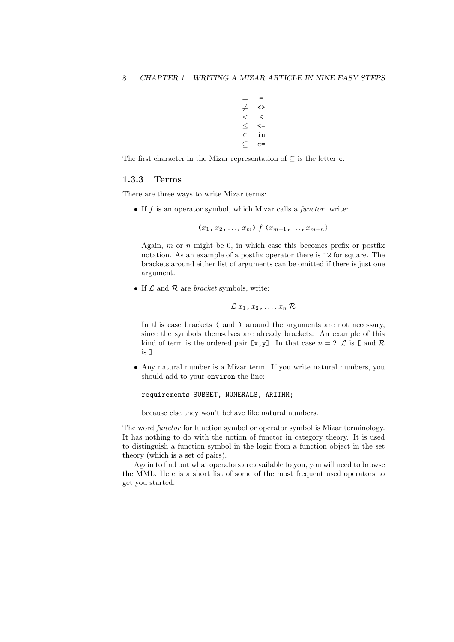```
=\neq \leftrightarrow< <
     \lt =∈ in
       c=
```
The first character in the Mizar representation of  $\subseteq$  is the letter  $\mathtt{c}.$ 

#### 1.3.3 Terms

There are three ways to write Mizar terms:

• If  $f$  is an operator symbol, which Mizar calls a *functor*, write:

$$
(x_1,x_2,\ldots,x_m) f (x_{m+1},\ldots,x_{m+n})
$$

Again,  $m$  or  $n$  might be 0, in which case this becomes prefix or postfix notation. As an example of a postfix operator there is  $\hat{ }$  2 for square. The brackets around either list of arguments can be omitted if there is just one argument.

• If  $\mathcal L$  and  $\mathcal R$  are *bracket* symbols, write:

$$
\mathcal{L} x_1, x_2, \ldots, x_n \mathcal{R}
$$

In this case brackets ( and ) around the arguments are not necessary, since the symbols themselves are already brackets. An example of this kind of term is the ordered pair  $[x, y]$ . In that case  $n = 2$ ,  $\mathcal{L}$  is [ and  $\mathcal{R}$ is ].

• Any natural number is a Mizar term. If you write natural numbers, you should add to your environ the line:

```
requirements SUBSET, NUMERALS, ARITHM;
```
because else they won't behave like natural numbers.

The word *functor* for function symbol or operator symbol is Mizar terminology. It has nothing to do with the notion of functor in category theory. It is used to distinguish a function symbol in the logic from a function object in the set theory (which is a set of pairs).

Again to find out what operators are available to you, you will need to browse the MML. Here is a short list of some of the most frequent used operators to get you started.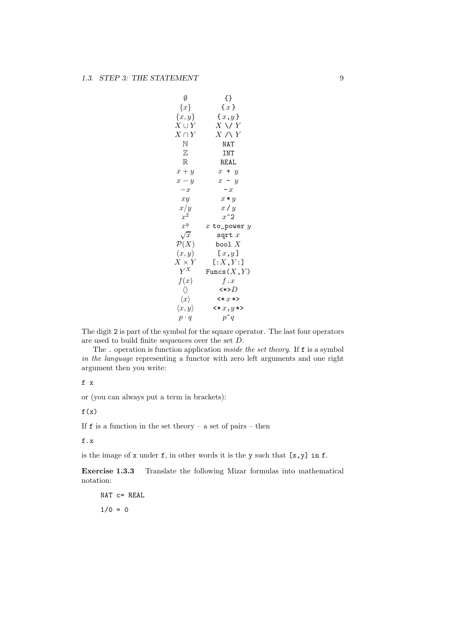∅ {} {x} { x } {x, y} { x,y } X ∪ Y X \/ Y X ∩ Y X /\ Y N NAT Z INT R REAL x + y x + y x − y x - y −x - x xy x \* y x/y x / y x <sup>2</sup> x^2 x <sup>y</sup> x to\_power y √ x sqrt x P(X) bool X (x, y) [ x,y ] X × Y [:X,Y :] Y <sup>X</sup> Funcs(X,Y ) f(x) f.x hi <\*>D hxi <\* x \*> hx, yi <\* x,y \*> p · q p^q

The digit 2 is part of the symbol for the square operator. The last four operators are used to build finite sequences over the set D.

The . operation is function application *inside the set theory*. If **f** is a symbol in the language representing a functor with zero left arguments and one right argument then you write:

f x

or (you can always put a term in brackets):

 $f(x)$ 

If  $f$  is a function in the set theory – a set of pairs – then

#### f.x

is the image of  $x$  under  $f$ , in other words it is the  $y$  such that  $[x, y]$  in  $f$ .

Exercise 1.3.3 Translate the following Mizar formulas into mathematical notation:

NAT c= REAL  $1/0 = 0$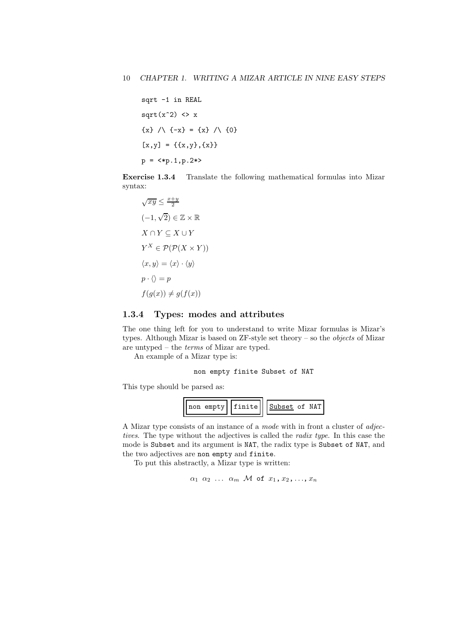sqrt -1 in REAL  $sqrt(x^2)$   $\leftrightarrow$  x  $\{x\}$  /  $\{x\} = \{x\}$  /  $\{0\}$  $[x,y] = \{\{x,y\},\{x\}\}\$  $p = \langle *p.1, p.2* \rangle$ 

Exercise 1.3.4 Translate the following mathematical formulas into Mizar syntax:

 $\sqrt{xy} \leq \frac{x+y}{2}$  $(-1,\sqrt{2}) \in \mathbb{Z} \times \mathbb{R}$  $X \cap Y \subseteq X \cup Y$  $Y^X \in \mathcal{P}(\mathcal{P}(X \times Y))$  $\langle x, y \rangle = \langle x \rangle \cdot \langle y \rangle$  $p \cdot \langle \rangle = p$  $f(g(x)) \neq g(f(x))$ 

#### 1.3.4 Types: modes and attributes

The one thing left for you to understand to write Mizar formulas is Mizar's types. Although Mizar is based on ZF-style set theory – so the *objects* of Mizar are untyped – the terms of Mizar are typed.

An example of a Mizar type is:

non empty finite Subset of NAT

This type should be parsed as:



A Mizar type consists of an instance of a mode with in front a cluster of adjectives. The type without the adjectives is called the radix type. In this case the mode is Subset and its argument is NAT, the radix type is Subset of NAT, and the two adjectives are non empty and finite.

To put this abstractly, a Mizar type is written:

 $\alpha_1 \ \alpha_2 \ \ldots \ \alpha_m \ \mathcal{M}$  of  $x_1, x_2, \ldots, x_n$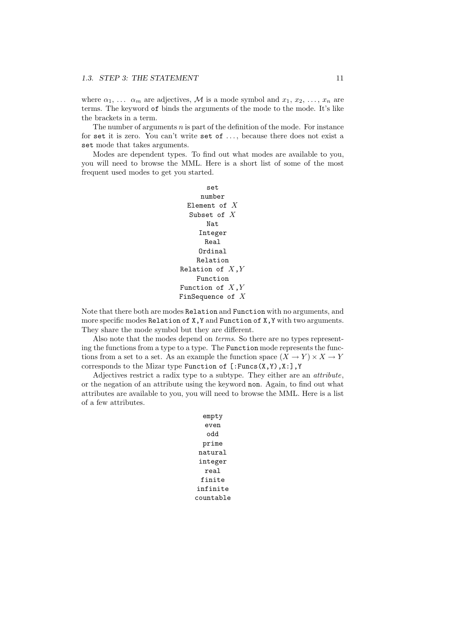where  $\alpha_1, \ldots, \alpha_m$  are adjectives, M is a mode symbol and  $x_1, x_2, \ldots, x_n$  are terms. The keyword of binds the arguments of the mode to the mode. It's like the brackets in a term.

The number of arguments  $n$  is part of the definition of the mode. For instance for set it is zero. You can't write set of . . . , because there does not exist a set mode that takes arguments.

Modes are dependent types. To find out what modes are available to you, you will need to browse the MML. Here is a short list of some of the most frequent used modes to get you started.

```
set
     number
  Element of XSubset of X
      Nat
     Integer
      Real
    Ordinal
    Relation
Relation of X, YFunction
Function of X, YFinSequence of X
```
Note that there both are modes Relation and Function with no arguments, and more specific modes Relation of X, Y and Function of X, Y with two arguments. They share the mode symbol but they are different.

Also note that the modes depend on terms. So there are no types representing the functions from a type to a type. The Function mode represents the functions from a set to a set. As an example the function space  $(X \to Y) \times X \to Y$ corresponds to the Mizar type Function of [:Funcs(X,Y),X:],Y

Adjectives restrict a radix type to a subtype. They either are an attribute, or the negation of an attribute using the keyword non. Again, to find out what attributes are available to you, you will need to browse the MML. Here is a list of a few attributes.

> empty even odd prime natural integer real finite infinite countable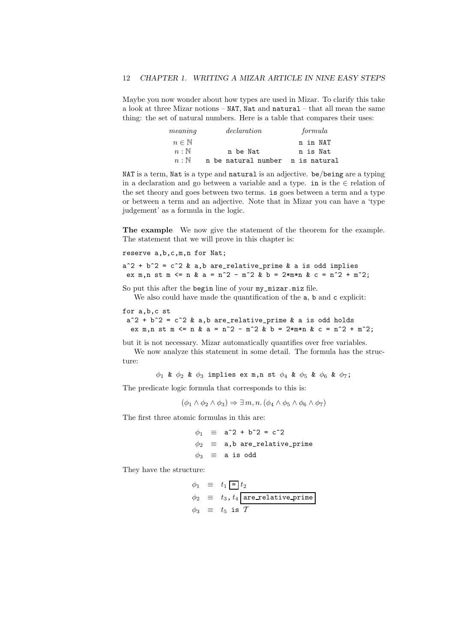Maybe you now wonder about how types are used in Mizar. To clarify this take a look at three Mizar notions – NAT, Nat and natural – that all mean the same thing: the set of natural numbers. Here is a table that compares their uses:

| meaning            | declaration                      | formula  |
|--------------------|----------------------------------|----------|
| $n \in \mathbb{N}$ |                                  | n in NAT |
| $n:\mathbb{N}$     | n be Nat                         | n is Nat |
| $n:\mathbb{N}$     | n be natural number n is natural |          |

NAT is a term, Nat is a type and natural is an adjective. be/being are a typing in a declaration and go between a variable and a type. in is the  $\in$  relation of the set theory and goes between two terms. is goes between a term and a type or between a term and an adjective. Note that in Mizar you can have a 'type judgement' as a formula in the logic.

The example We now give the statement of the theorem for the example. The statement that we will prove in this chapter is:

reserve a,b,c,m,n for Nat;

 $a^2$  + b<sup>2</sup> = c<sup>2</sup> & a,b are\_relative\_prime & a is odd implies ex m, n st m <= n & a = n^2 - m^2 & b = 2\*m\*n & c = n^2 + m^2;

So put this after the begin line of your my\_mizar.miz file.

We also could have made the quantification of the **a**, **b** and **c** explicit:

for a,b,c st  $a^2$  + b<sup>2</sup> = c<sup>2</sup> & a,b are\_relative\_prime & a is odd holds ex m, n st m <= n & a = n^2 - m^2 & b = 2\*m\*n & c = n^2 + m^2;

but it is not necessary. Mizar automatically quantifies over free variables.

We now analyze this statement in some detail. The formula has the structure:

 $\phi_1$  &  $\phi_2$  &  $\phi_3$  implies ex m,n st  $\phi_4$  &  $\phi_5$  &  $\phi_6$  &  $\phi_7$ ;

The predicate logic formula that corresponds to this is:

 $(\phi_1 \land \phi_2 \land \phi_3) \Rightarrow \exists m, n. (\phi_4 \land \phi_5 \land \phi_6 \land \phi_7)$ 

The first three atomic formulas in this are:

$$
\phi_1 \equiv a^2 + b^2 = c^2
$$
  
\n
$$
\phi_2 \equiv a, b \text{ are} \text{relative} \text{ prime}
$$
  
\n
$$
\phi_3 \equiv a \text{ is odd}
$$

They have the structure:

$$
\begin{array}{rcl}\n\phi_1 & \equiv & t_1 \equiv t_2 \\
\phi_2 & \equiv & t_3, t_4 \text{ are_relative-prime} \\
\phi_3 & \equiv & t_5 \text{ is } \mathcal{T}\n\end{array}
$$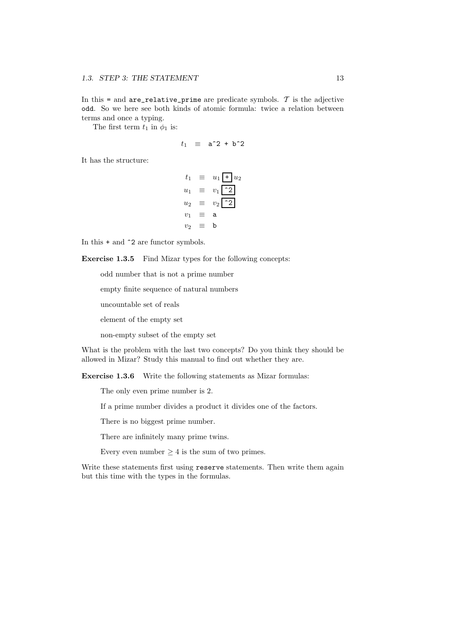In this = and  $are\_relative\_prime$  are predicate symbols.  $\mathcal T$  is the adjective odd. So we here see both kinds of atomic formula: twice a relation between terms and once a typing.

The first term  $t_1$  in  $\phi_1$  is:

$$
t_1 \equiv \mathsf{a}^2 + \mathsf{b}^2
$$

It has the structure:

$$
t_1 \equiv u_1 + u_2
$$
  
\n
$$
u_1 \equiv v_1 \underline{\hspace{0.2cm}1} \underline{\hspace{0.2cm}2}
$$
  
\n
$$
u_2 \equiv v_2 \underline{\hspace{0.2cm}1} \underline{\hspace{0.2cm}2}
$$
  
\n
$$
v_1 \equiv a
$$
  
\n
$$
v_2 \equiv b
$$

In this + and ^2 are functor symbols.

Exercise 1.3.5 Find Mizar types for the following concepts:

odd number that is not a prime number

empty finite sequence of natural numbers

uncountable set of reals

element of the empty set

non-empty subset of the empty set

What is the problem with the last two concepts? Do you think they should be allowed in Mizar? Study this manual to find out whether they are.

Exercise 1.3.6 Write the following statements as Mizar formulas:

The only even prime number is 2.

If a prime number divides a product it divides one of the factors.

There is no biggest prime number.

There are infinitely many prime twins.

Every even number  $\geq 4$  is the sum of two primes.

Write these statements first using reserve statements. Then write them again but this time with the types in the formulas.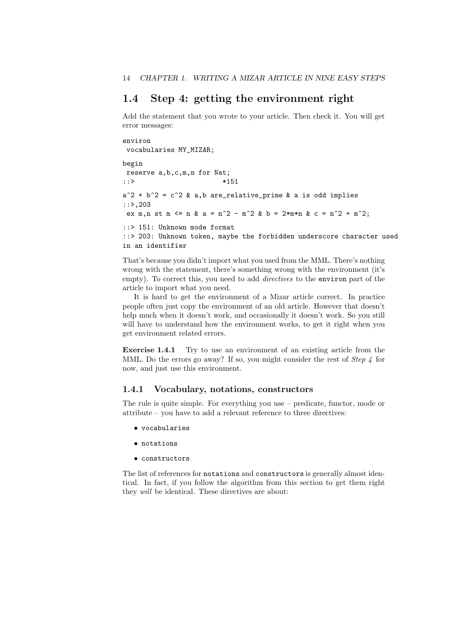## 1.4 Step 4: getting the environment right

Add the statement that you wrote to your article. Then check it. You will get error messages:

```
environ
vocabularies MY_MIZAR;
begin
reserve a,b,c,m,n for Nat;
::> *151
a^2 + b<sup>2</sup> = c<sup>2</sup> & a,b are_relative_prime & a is odd implies
::>,203
ex m, n st m \leq n & a = n^2 - m^2 & b = 2*m*n & c = n^2 + m^2;
::> 151: Unknown mode format
::> 203: Unknown token, maybe the forbidden underscore character used
in an identifier
```
That's because you didn't import what you used from the MML. There's nothing wrong with the statement, there's something wrong with the environment (it's empty). To correct this, you need to add *directives* to the environ part of the article to import what you need.

It is hard to get the environment of a Mizar article correct. In practice people often just copy the environment of an old article. However that doesn't help much when it doesn't work, and occasionally it doesn't work. So you still will have to understand how the environment works, to get it right when you get environment related errors.

Exercise 1.4.1 Try to use an environment of an existing article from the MML. Do the errors go away? If so, you might consider the rest of *Step 4* for now, and just use this environment.

#### 1.4.1 Vocabulary, notations, constructors

The rule is quite simple. For everything you use – predicate, functor, mode or attribute – you have to add a relevant reference to three directives:

- vocabularies
- notations
- constructors

The list of references for notations and constructors is generally almost identical. In fact, if you follow the algorithm from this section to get them right they will be identical. These directives are about: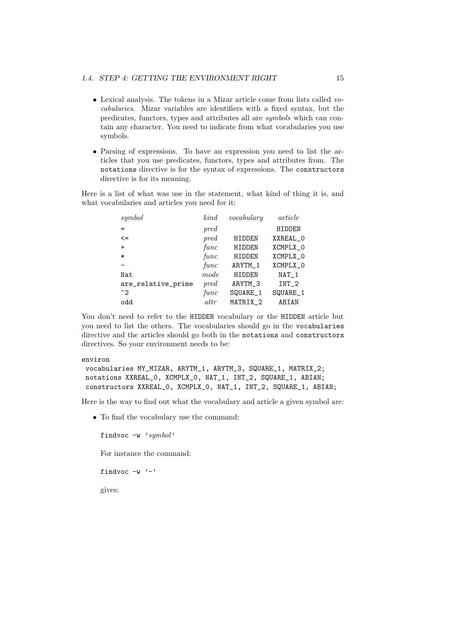- Lexical analysis. The tokens in a Mizar article come from lists called vocabularies. Mizar variables are identifiers with a fixed syntax, but the predicates, functors, types and attributes all are symbols which can contain any character. You need to indicate from what vocabularies you use symbols.
- Parsing of expressions. To have an expression you need to list the articles that you use predicates, functors, types and attributes from. The notations directive is for the syntax of expressions. The constructors directive is for its meaning.

Here is a list of what was use in the statement, what kind of thing it is, and what vocabularies and articles you need for it:

| symbol             | $\,$ | vocabulary          | article  |
|--------------------|------|---------------------|----------|
| $=$                | pred |                     | HIDDEN   |
| $\leq$             | pred | HIDDEN              | XXREAL_O |
| $+$                | func | HIDDEN              | XCMPLX_0 |
| $\ast$             | func | HIDDEN              | XCMPLX_0 |
|                    | func | ARYTM 1             | XCMPLX_0 |
| Nat                | mode | HIDDEN              | $NAT_1$  |
| are_relative_prime | pred | ARYTM_3             | $INT_2$  |
| $\hat{c}$          | func | SQUARE_1            | SQUARE_1 |
| odd                | attr | MATRIX <sub>2</sub> | ABIAN    |

You don't need to refer to the HIDDEN vocabulary or the HIDDEN article but you need to list the others. The vocabularies should go in the vocabularies directive and the articles should go both in the notations and constructors directives. So your environment needs to be:

```
environ
vocabularies MY_MIZAR, ARYTM_1, ARYTM_3, SQUARE_1, MATRIX_2;
notations XXREAL_0, XCMPLX_0, NAT_1, INT_2, SQUARE_1, ABIAN;
constructors XXREAL_0, XCMPLX_0, NAT_1, INT_2, SQUARE_1, ABIAN;
```
Here is the way to find out what the vocabulary and article a given symbol are:

• To find the vocabulary use the command:

findvoc  $-w$  'symbol'

For instance the command:

findvoc  $-w$  '-'

gives: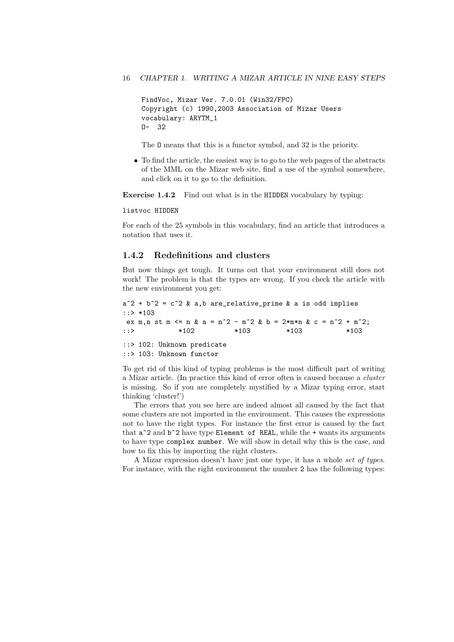```
FindVoc, Mizar Ver. 7.0.01 (Win32/FPC)
Copyright (c) 1990,2003 Association of Mizar Users
vocabulary: ARYTM_1
O- 32
```
The O means that this is a functor symbol, and 32 is the priority.

• To find the article, the easiest way is to go to the web pages of the abstracts of the MML on the Mizar web site, find a use of the symbol somewhere, and click on it to go to the definition.

Exercise 1.4.2 Find out what is in the HIDDEN vocabulary by typing:

listvoc HIDDEN

For each of the 25 symbols in this vocabulary, find an article that introduces a notation that uses it.

#### 1.4.2 Redefinitions and clusters

But now things get tough. It turns out that your environment still does not work! The problem is that the types are wrong. If you check the article with the new environment you get:

```
a^2 + b^2 = c^2 & a,b are_relative_prime & a is odd implies
::> *103
ex m, n st m \leq n & a = n^2 - m^2 & b = 2*m*n & c = n^2 + m^2;
::> *102 *103 *103 *103
::> 102: Unknown predicate
::> 103: Unknown functor
```
To get rid of this kind of typing problems is the most difficult part of writing a Mizar article. (In practice this kind of error often is caused because a cluster is missing. So if you are completely mystified by a Mizar typing error, start thinking 'cluster!')

The errors that you see here are indeed almost all caused by the fact that some clusters are not imported in the environment. This causes the expressions not to have the right types. For instance the first error is caused by the fact that a<sup>2</sup> and b<sup>2</sup> have type Element of REAL, while the + wants its arguments to have type complex number. We will show in detail why this is the case, and how to fix this by importing the right clusters.

A Mizar expression doesn't have just one type, it has a whole set of types. For instance, with the right environment the number 2 has the following types: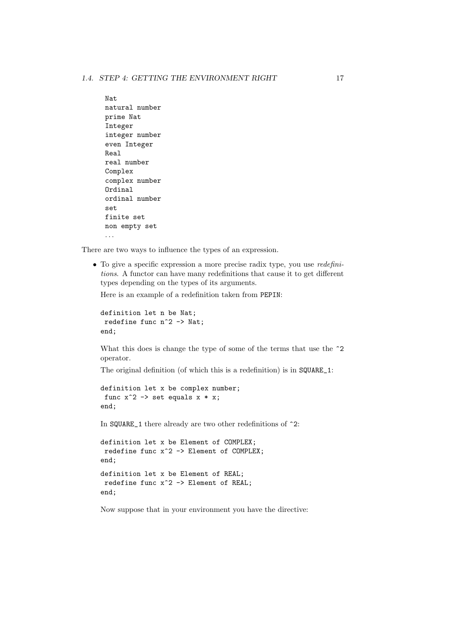```
Nat
natural number
prime Nat
Integer
integer number
even Integer
Real
real number
Complex
complex number
Ordinal
ordinal number
set
finite set
non empty set
. . .
```
There are two ways to influence the types of an expression.

• To give a specific expression a more precise radix type, you use redefinitions. A functor can have many redefinitions that cause it to get different types depending on the types of its arguments.

Here is an example of a redefinition taken from PEPIN:

```
definition let n be Nat;
redefine func n<sup>2</sup> -> Nat;
end;
```
What this does is change the type of some of the terms that use the  $\hat{}$ 2 operator.

The original definition (of which this is a redefinition) is in SQUARE\_1:

```
definition let x be complex number;
func x^2 -> set equals x * x;
end;
```
In SQUARE\_1 there already are two other redefinitions of ^2:

```
definition let x be Element of COMPLEX;
redefine func x^2 -> Element of COMPLEX;
end;
definition let x be Element of REAL;
redefine func x^2 -> Element of REAL;
end;
```
Now suppose that in your environment you have the directive: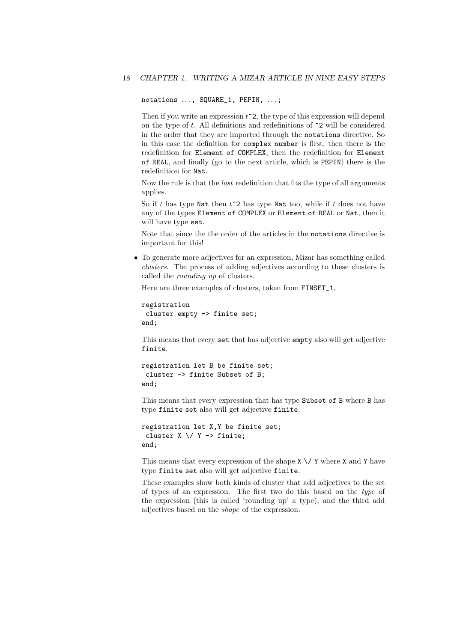notations ..., SQUARE\_1, PEPIN, ...;

Then if you write an expression  $t^2$ , the type of this expression will depend on the type of  $t$ . All definitions and redefinitions of  $\hat{ }$  2 will be considered in the order that they are imported through the notations directive. So in this case the definition for complex number is first, then there is the redefinition for Element of COMPLEX, then the redefinition for Element of REAL, and finally (go to the next article, which is PEPIN) there is the redefinition for Nat.

Now the rule is that the last redefinition that fits the type of all arguments applies.

So if t has type Nat then  $t^2$  has type Nat too, while if t does not have any of the types Element of COMPLEX or Element of REAL or Nat, then it will have type set.

Note that since the the order of the articles in the notations directive is important for this!

• To generate more adjectives for an expression, Mizar has something called clusters. The process of adding adjectives according to these clusters is called the rounding up of clusters.

Here are three examples of clusters, taken from FINSET\_1.

```
registration
 cluster empty -> finite set;
end;
```
This means that every set that has adjective empty also will get adjective finite.

```
registration let B be finite set;
 cluster -> finite Subset of B;
end;
```
This means that every expression that has type Subset of B where B has type finite set also will get adjective finite.

```
registration let X,Y be finite set;
 cluster X \setminus / Y \rightarrow finite;
end;
```
This means that every expression of the shape  $X \setminus / Y$  where X and Y have type finite set also will get adjective finite.

These examples show both kinds of cluster that add adjectives to the set of types of an expression. The first two do this based on the type of the expression (this is called 'rounding up' a type), and the third add adjectives based on the shape of the expression.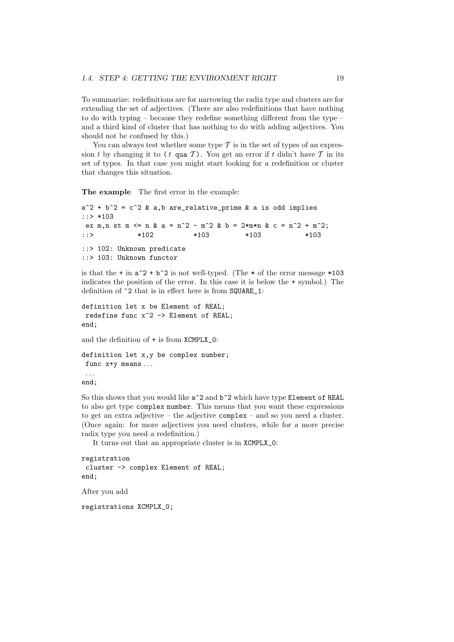To summarize: redefinitions are for narrowing the radix type and clusters are for extending the set of adjectives. (There are also redefinitions that have nothing to do with typing – because they redefine something different from the type – and a third kind of cluster that has nothing to do with adding adjectives. You should not be confused by this.)

You can always test whether some type  $\mathcal T$  is in the set of types of an expression t by changing it to ( $t$  qua  $T$ ). You get an error if  $t$  didn't have  $T$  in its set of types. In that case you might start looking for a redefinition or cluster that changes this situation.

The example The first error in the example:

```
a^2 + b<sup>2</sup> = c<sup>2</sup> & a,b are_relative_prime & a is odd implies
::> *103
ex m, n st m <= n & a = n^2 - m^2 & b = 2*m*n & c = n^2 + m^2;
::> *102 *103 *103 *103
::> 102: Unknown predicate
::> 103: Unknown functor
```
is that the  $+$  in  $a^2 + b^2$  is not well-typed. (The  $*$  of the error message  $*103$ indicates the position of the error. In this case it is below the + symbol.) The definition of ^2 that is in effect here is from SQUARE\_1:

```
definition let x be Element of REAL;
redefine func x^2 -> Element of REAL;
end;
```
and the definition of + is from XCMPLX\_0:

```
definition let x,y be complex number;
func x+y means ...
. . .
end;
```
So this shows that you would like  $a^2$  and  $b^2$  which have type Element of REAL to also get type complex number. This means that you want these expressions to get an extra adjective – the adjective complex – and so you need a cluster. (Once again: for more adjectives you need clusters, while for a more precise radix type you need a redefinition.)

It turns out that an appropriate cluster is in XCMPLX\_0:

```
registration
 cluster -> complex Element of REAL;
end;
After you add
```
registrations XCMPLX\_0;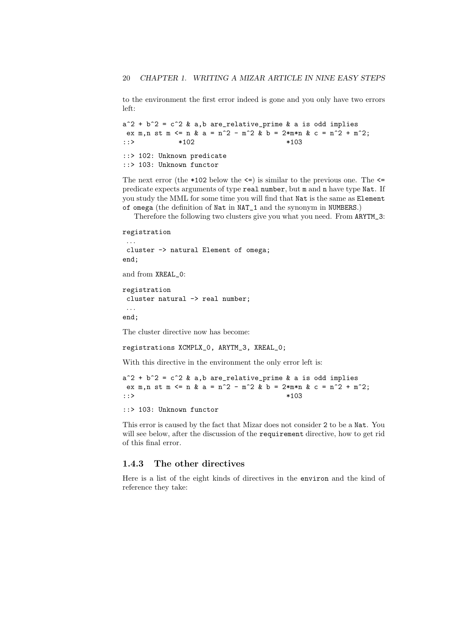to the environment the first error indeed is gone and you only have two errors left:

```
a^2 + b<sup>2</sup> = c<sup>2</sup> & a,b are_relative_prime & a is odd implies
ex m,n st m <= n & a = n^2 - m^2 & b = 2*m*n & c = n^2 + m^2;
::> *102 *103
::> 102: Unknown predicate
::> 103: Unknown functor
```
The next error (the  $*102$  below the  $\leq$ ) is similar to the previous one. The  $\leq$ predicate expects arguments of type real number, but m and n have type Nat. If you study the MML for some time you will find that Nat is the same as Element of omega (the definition of Nat in NAT\_1 and the synonym in NUMBERS.)

Therefore the following two clusters give you what you need. From ARYTM\_3:

```
registration
```
. . .

```
cluster -> natural Element of omega;
end;
```
and from XREAL\_0:

```
registration
 cluster natural -> real number;
 . . .
end;
```
The cluster directive now has become:

registrations XCMPLX\_0, ARYTM\_3, XREAL\_0;

With this directive in the environment the only error left is:

```
a^2 + b<sup>2</sup> = c<sup>2</sup> & a,b are_relative_prime & a is odd implies
ex m,n st m <= n & a = n^2 - m^2 & b = 2*m*n & c = n^2 + m^2;
::> *103
```
::> 103: Unknown functor

This error is caused by the fact that Mizar does not consider 2 to be a Nat. You will see below, after the discussion of the requirement directive, how to get rid of this final error.

#### 1.4.3 The other directives

Here is a list of the eight kinds of directives in the environ and the kind of reference they take: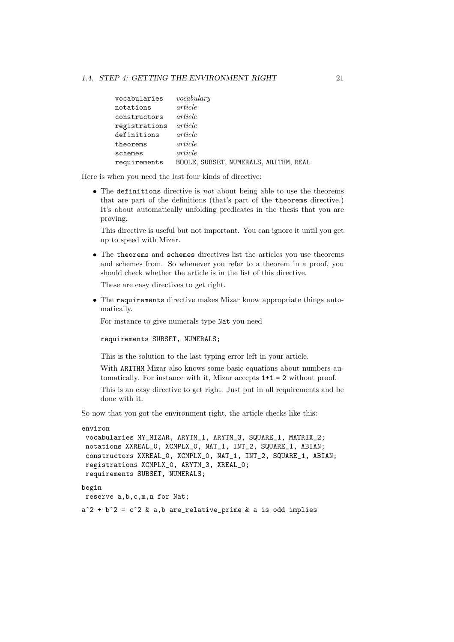```
vocabularies vocabulary
notations article
constructors article
registrations article
definitions article
theorems article
schemes articlerequirements BOOLE, SUBSET, NUMERALS, ARITHM, REAL
```
Here is when you need the last four kinds of directive:

• The definitions directive is not about being able to use the theorems that are part of the definitions (that's part of the theorems directive.) It's about automatically unfolding predicates in the thesis that you are proving.

This directive is useful but not important. You can ignore it until you get up to speed with Mizar.

• The theorems and schemes directives list the articles you use theorems and schemes from. So whenever you refer to a theorem in a proof, you should check whether the article is in the list of this directive.

These are easy directives to get right.

• The requirements directive makes Mizar know appropriate things automatically.

For instance to give numerals type Nat you need

```
requirements SUBSET, NUMERALS;
```
This is the solution to the last typing error left in your article.

With ARITHM Mizar also knows some basic equations about numbers automatically. For instance with it, Mizar accepts 1+1 = 2 without proof.

This is an easy directive to get right. Just put in all requirements and be done with it.

So now that you got the environment right, the article checks like this:

```
environ
vocabularies MY_MIZAR, ARYTM_1, ARYTM_3, SQUARE_1, MATRIX_2;
notations XXREAL_0, XCMPLX_0, NAT_1, INT_2, SQUARE_1, ABIAN;
constructors XXREAL_0, XCMPLX_0, NAT_1, INT_2, SQUARE_1, ABIAN;
registrations XCMPLX_0, ARYTM_3, XREAL_0;
requirements SUBSET, NUMERALS;
begin
```
reserve a,b,c,m,n for Nat;

 $a^2 + b^2 = c^2$  & a,b are\_relative\_prime & a is odd implies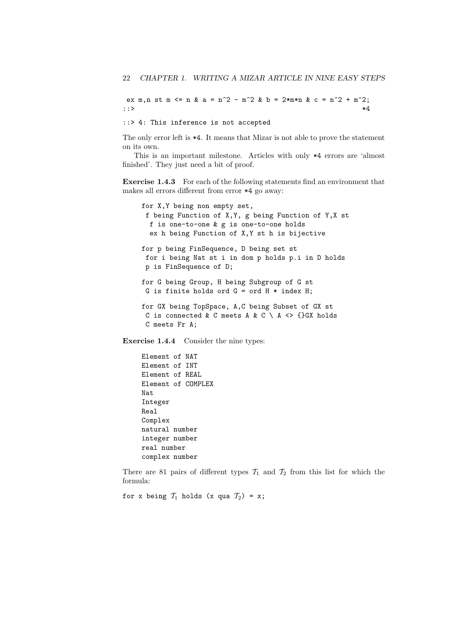ex m, n st m <= n & a = n^2 - m^2 & b = 2\*m\*n & c = n^2 + m^2;  $\therefore$  \*4

#### ::> 4: This inference is not accepted

The only error left is \*4. It means that Mizar is not able to prove the statement on its own.

This is an important milestone. Articles with only \*4 errors are 'almost finished'. They just need a bit of proof.

Exercise 1.4.3 For each of the following statements find an environment that makes all errors different from error \*4 go away:

```
for X,Y being non empty set,
     f being Function of X,Y, g being Function of Y,X st
      f is one-to-one & g is one-to-one holds
      ex h being Function of X,Y st h is bijective
    for p being FinSequence, D being set st
     for i being Nat st i in dom p holds p.i in D holds
     p is FinSequence of D;
    for G being Group, H being Subgroup of G st
     G is finite holds ord G = ord H * index H;for GX being TopSpace, A,C being Subset of GX st
     C is connected & C meets A & C \ A <> {}GX holds
     C meets Fr A;
Exercise 1.4.4 Consider the nine types:
    Element of NAT
    Element of INT
    Element of REAL
    Element of COMPLEX
    Nat
    Integer
    Real
    Complex
    natural number
    integer number
    real number
    complex number
```
There are 81 pairs of different types  $\mathcal{T}_1$  and  $\mathcal{T}_2$  from this list for which the formula:

```
for x being T_1 holds (x qua T_2) = x;
```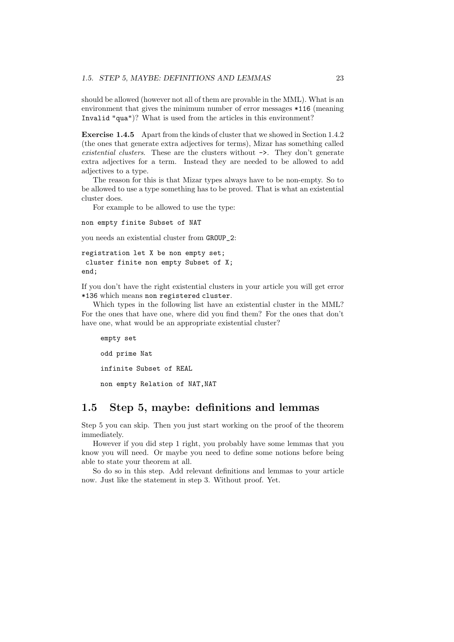should be allowed (however not all of them are provable in the MML). What is an environment that gives the minimum number of error messages \*116 (meaning Invalid "qua")? What is used from the articles in this environment?

Exercise 1.4.5 Apart from the kinds of cluster that we showed in Section 1.4.2 (the ones that generate extra adjectives for terms), Mizar has something called existential clusters. These are the clusters without ->. They don't generate extra adjectives for a term. Instead they are needed to be allowed to add adjectives to a type.

The reason for this is that Mizar types always have to be non-empty. So to be allowed to use a type something has to be proved. That is what an existential cluster does.

For example to be allowed to use the type:

non empty finite Subset of NAT

you needs an existential cluster from GROUP\_2:

```
registration let X be non empty set;
 cluster finite non empty Subset of X;
end;
```
If you don't have the right existential clusters in your article you will get error \*136 which means non registered cluster.

Which types in the following list have an existential cluster in the MML? For the ones that have one, where did you find them? For the ones that don't have one, what would be an appropriate existential cluster?

```
empty set
odd prime Nat
infinite Subset of REAL
non empty Relation of NAT,NAT
```
## 1.5 Step 5, maybe: definitions and lemmas

Step 5 you can skip. Then you just start working on the proof of the theorem immediately.

However if you did step 1 right, you probably have some lemmas that you know you will need. Or maybe you need to define some notions before being able to state your theorem at all.

So do so in this step. Add relevant definitions and lemmas to your article now. Just like the statement in step 3. Without proof. Yet.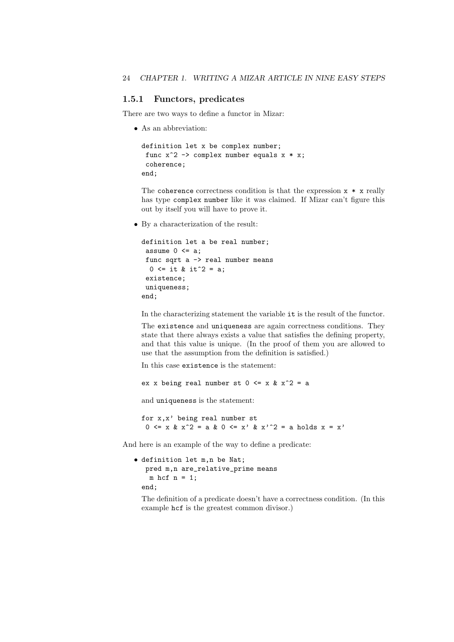#### 1.5.1 Functors, predicates

There are two ways to define a functor in Mizar:

• As an abbreviation:

```
definition let x be complex number;
 func x^2 -> complex number equals x * x;
 coherence;
end;
```
The coherence correctness condition is that the expression  $x * x$  really has type complex number like it was claimed. If Mizar can't figure this out by itself you will have to prove it.

• By a characterization of the result:

```
definition let a be real number;
 assume 0 \leq a;
 func sqrt a -> real number means
  0 \le it & it<sup>2</sup> = a;
 existence;
uniqueness;
end;
```
In the characterizing statement the variable it is the result of the functor.

The existence and uniqueness are again correctness conditions. They state that there always exists a value that satisfies the defining property, and that this value is unique. (In the proof of them you are allowed to use that the assumption from the definition is satisfied.)

In this case existence is the statement:

```
ex x being real number st 0 \le x \le x^2 = a
```
and uniqueness is the statement:

for x,x' being real number st 0 <= x & x^2 = a & 0 <= x' & x'^2 = a holds x = x'

And here is an example of the way to define a predicate:

```
• definition let m,n be Nat;
  pred m,n are_relative_prime means
   m hcf n = 1;
  end;
```
The definition of a predicate doesn't have a correctness condition. (In this example hcf is the greatest common divisor.)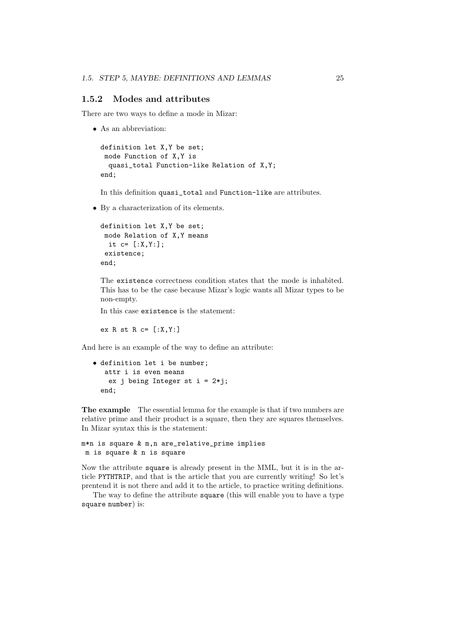#### 1.5.2 Modes and attributes

There are two ways to define a mode in Mizar:

• As an abbreviation:

```
definition let X,Y be set;
mode Function of X,Y is
 quasi_total Function-like Relation of X,Y;
end;
```
In this definition quasi\_total and Function-like are attributes.

• By a characterization of its elements.

```
definition let X,Y be set;
mode Relation of X,Y means
 it c= [:X,Y:];
 existence;
end;
```
The existence correctness condition states that the mode is inhabited. This has to be the case because Mizar's logic wants all Mizar types to be non-empty.

In this case existence is the statement:

ex  $R$  st  $R$   $c =$   $[:X, Y:]$ 

And here is an example of the way to define an attribute:

```
• definition let i be number;
   attr i is even means
    ex j being Integer st i = 2 * j;
  end;
```
The example The essential lemma for the example is that if two numbers are relative prime and their product is a square, then they are squares themselves. In Mizar syntax this is the statement:

```
m*n is square & m,n are_relative_prime implies
m is square & n is square
```
Now the attribute square is already present in the MML, but it is in the article PYTHTRIP, and that is the article that you are currently writing! So let's prentend it is not there and add it to the article, to practice writing definitions.

The way to define the attribute square (this will enable you to have a type square number) is: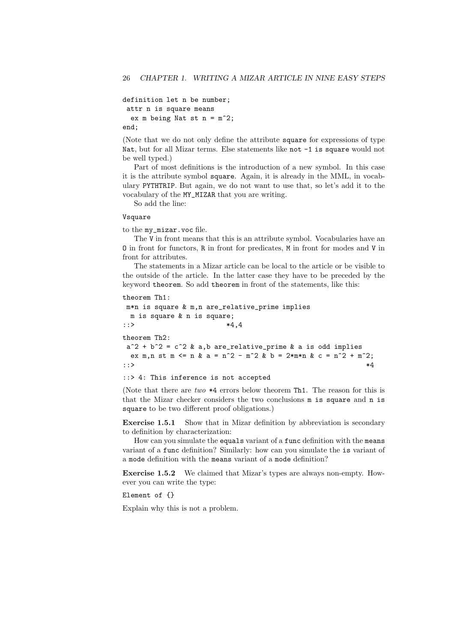```
definition let n be number;
attr n is square means
 ex m being Nat st n = m^2;
end;
```
(Note that we do not only define the attribute square for expressions of type Nat, but for all Mizar terms. Else statements like not -1 is square would not be well typed.)

Part of most definitions is the introduction of a new symbol. In this case it is the attribute symbol square. Again, it is already in the MML, in vocabulary PYTHTRIP. But again, we do not want to use that, so let's add it to the vocabulary of the MY\_MIZAR that you are writing.

So add the line:

#### Vsquare

to the my\_mizar.voc file.

The V in front means that this is an attribute symbol. Vocabularies have an O in front for functors, R in front for predicates, M in front for modes and V in front for attributes.

The statements in a Mizar article can be local to the article or be visible to the outside of the article. In the latter case they have to be preceded by the keyword theorem. So add theorem in front of the statements, like this:

```
theorem Th1:
```

```
m*n is square & m,n are_relative_prime implies
 m is square & n is square;
\cdot : \cdot *4,4
theorem Th2:
a^2 + b<sup>2</sup> = c<sup>2</sup> & a,b are_relative_prime & a is odd implies
 ex m, n st m <= n & a = n^2 - m^2 & b = 2*m*n & c = n^2 + m^2;
\cdot :> *4
```

```
::> 4: This inference is not accepted
```
(Note that there are two \*4 errors below theorem Th1. The reason for this is that the Mizar checker considers the two conclusions m is square and n is square to be two different proof obligations.)

Exercise 1.5.1 Show that in Mizar definition by abbreviation is secondary to definition by characterization:

How can you simulate the equals variant of a func definition with the means variant of a func definition? Similarly: how can you simulate the is variant of a mode definition with the means variant of a mode definition?

Exercise 1.5.2 We claimed that Mizar's types are always non-empty. However you can write the type:

Element of {}

Explain why this is not a problem.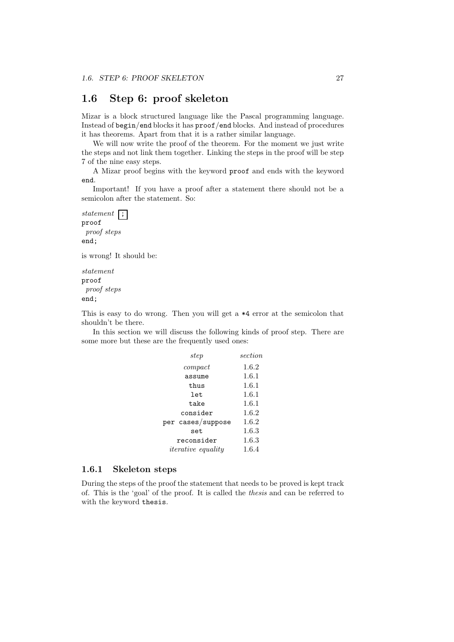## 1.6 Step 6: proof skeleton

Mizar is a block structured language like the Pascal programming language. Instead of begin/end blocks it has proof/end blocks. And instead of procedures it has theorems. Apart from that it is a rather similar language.

We will now write the proof of the theorem. For the moment we just write the steps and not link them together. Linking the steps in the proof will be step 7 of the nine easy steps.

A Mizar proof begins with the keyword proof and ends with the keyword end.

Important! If you have a proof after a statement there should not be a semicolon after the statement. So:

statement ; proof proof steps end; is wrong! It should be: statement

proof proof steps end;

This is easy to do wrong. Then you will get a \*4 error at the semicolon that shouldn't be there.

In this section we will discuss the following kinds of proof step. There are some more but these are the frequently used ones:

| step                      | section |
|---------------------------|---------|
| compact                   | 1.6.2   |
| assume                    | 1.6.1   |
| thus                      | 1.6.1   |
| 1et.                      | 1.6.1   |
| take                      | 1.6.1   |
| consider                  | 1.6.2   |
| per cases/suppose         | 1.6.2   |
| set.                      | 1.6.3   |
| reconsider                | 1.6.3   |
| <i>iterative equality</i> | 1.6.4   |

#### 1.6.1 Skeleton steps

During the steps of the proof the statement that needs to be proved is kept track of. This is the 'goal' of the proof. It is called the thesis and can be referred to with the keyword thesis.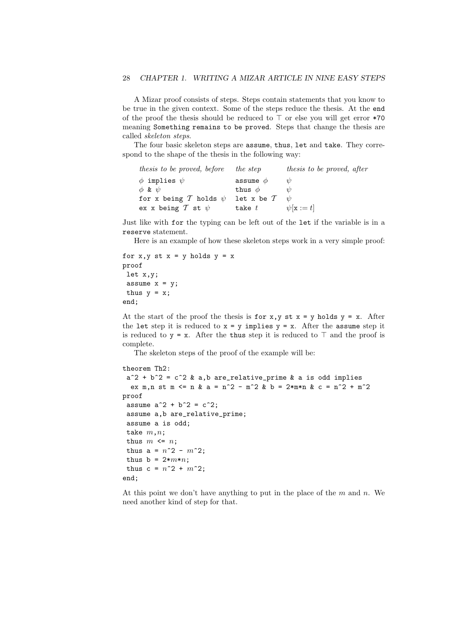A Mizar proof consists of steps. Steps contain statements that you know to be true in the given context. Some of the steps reduce the thesis. At the end of the proof the thesis should be reduced to ⊤ or else you will get error \*70 meaning Something remains to be proved. Steps that change the thesis are called skeleton steps.

The four basic skeleton steps are assume, thus, let and take. They correspond to the shape of the thesis in the following way:

| thesis to be proved, before the step |                              | <i>thesis to be proved, after</i> |
|--------------------------------------|------------------------------|-----------------------------------|
| $\phi$ implies $\psi$                | assume $\phi$                |                                   |
| $\phi$ & $\psi$                      | thus $\phi$                  |                                   |
| for x being $T$ holds $\psi$         | let x be ${\cal T}$          | $\psi$                            |
| ex x being $T$ st $\psi$             | take $t \qquad \psi[x := t]$ |                                   |
|                                      |                              |                                   |

Just like with for the typing can be left out of the let if the variable is in a reserve statement.

Here is an example of how these skeleton steps work in a very simple proof:

```
for x,y st x = y holds y = xproof
let x,y;
assume x = y;
thus y = x;
end;
```
At the start of the proof the thesis is for x,y st  $x = y$  holds  $y = x$ . After the let step it is reduced to  $x = y$  implies  $y = x$ . After the assume step it is reduced to  $y = x$ . After the thus step it is reduced to  $\top$  and the proof is complete.

The skeleton steps of the proof of the example will be:

```
theorem Th2:
a^2 + b<sup>2</sup> = c<sup>2</sup> & a,b are_relative_prime & a is odd implies
  ex m,n st m <= n & a = n^2 - m^2 & b = 2*m*n & c = n^2 + m^2
proof
 assume a^2 + b^2 = c^2;
 assume a,b are_relative_prime;
 assume a is odd;
 take m.n:
 thus m \leq n;
 thus a = n^2 - m^2;thus b = 2*m*n;thus c = n^2 + m^2;
end;
```
At this point we don't have anything to put in the place of the  $m$  and  $n$ . We need another kind of step for that.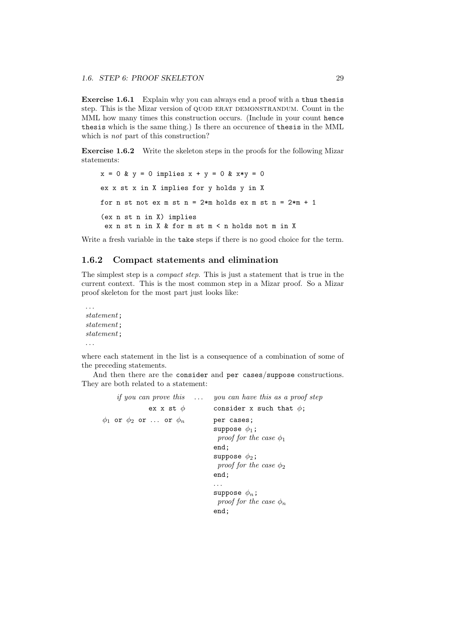Exercise 1.6.1 Explain why you can always end a proof with a thus thesis step. This is the Mizar version of quod erat demonstrandum. Count in the MML how many times this construction occurs. (Include in your count hence thesis which is the same thing.) Is there an occurence of thesis in the MML which is *not* part of this construction?

Exercise 1.6.2 Write the skeleton steps in the proofs for the following Mizar statements:

```
x = 0 & y = 0 implies x + y = 0 & x*y = 0ex x st x in X implies for y holds y in X
for n st not ex m st n = 2*m holds ex m st n = 2*m + 1(ex n st n in X) implies
 ex n st n in X & for m st m < n holds not m in X
```
Write a fresh variable in the take steps if there is no good choice for the term.

#### 1.6.2 Compact statements and elimination

The simplest step is a compact step. This is just a statement that is true in the current context. This is the most common step in a Mizar proof. So a Mizar proof skeleton for the most part just looks like:

```
. . .
statement;
statement;
statement;
```
. . .

where each statement in the list is a consequence of a combination of some of the preceding statements.

And then there are the consider and per cases/suppose constructions. They are both related to a statement:

```
if you can prove this \ldots you can have this as a proof step
              ex x st \phi consider x such that \phi;
\phi_1 or \phi_2 or ... or \phi_n per cases;
                                  suppose \phi_1;
                                   proof for the case \phi_1end;
                                  suppose \phi_2;
                                   proof for the case \phi_2end;
                                  . . .
                                  suppose \phi_n;
                                   proof for the case \phi_nend;
```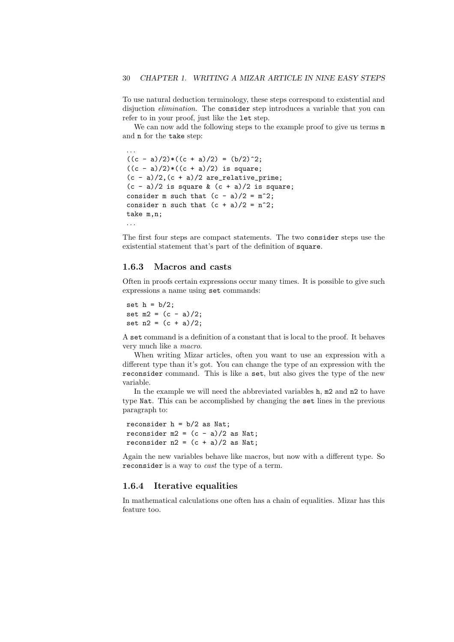To use natural deduction terminology, these steps correspond to existential and disjuction elimination. The consider step introduces a variable that you can refer to in your proof, just like the let step.

We can now add the following steps to the example proof to give us terms  $m$ and n for the take step:

```
((c - a)/2)*((c + a)/2) = (b/2)^2;((c - a)/2)*((c + a)/2) is square;
(c - a)/2, (c + a)/2 are_relative_prime;
(c - a)/2 is square & (c + a)/2 is square;
consider m such that (c - a)/2 = m^2;consider n such that (c + a)/2 = n^2;
take m,n;
```
. . .

. . .

The first four steps are compact statements. The two consider steps use the existential statement that's part of the definition of square.

#### 1.6.3 Macros and casts

Often in proofs certain expressions occur many times. It is possible to give such expressions a name using set commands:

```
set h = b/2;
set m2 = (c - a)/2;
set n2 = (c + a)/2;
```
A set command is a definition of a constant that is local to the proof. It behaves very much like a macro.

When writing Mizar articles, often you want to use an expression with a different type than it's got. You can change the type of an expression with the reconsider command. This is like a set, but also gives the type of the new variable.

In the example we will need the abbreviated variables h, m2 and n2 to have type Nat. This can be accomplished by changing the set lines in the previous paragraph to:

reconsider  $h = b/2$  as Nat; reconsider  $m2 = (c - a)/2$  as Nat; reconsider  $n2 = (c + a)/2$  as Nat;

Again the new variables behave like macros, but now with a different type. So reconsider is a way to *cast* the type of a term.

#### 1.6.4 Iterative equalities

In mathematical calculations one often has a chain of equalities. Mizar has this feature too.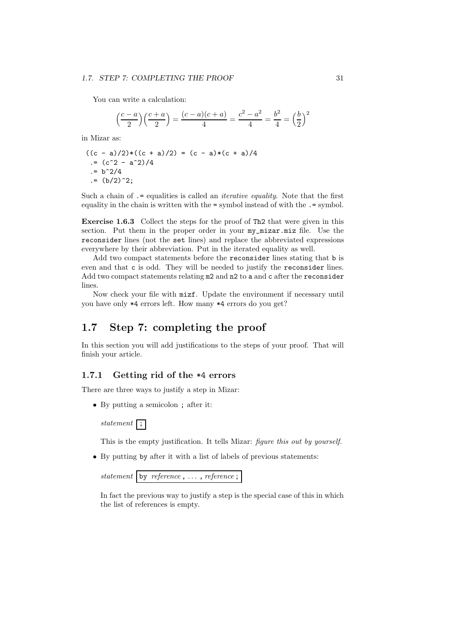You can write a calculation:

$$
\left(\frac{c-a}{2}\right)\left(\frac{c+a}{2}\right) = \frac{(c-a)(c+a)}{4} = \frac{c^2 - a^2}{4} = \frac{b^2}{4} = \left(\frac{b}{2}\right)^2
$$

in Mizar as:

$$
((c - a)/2)*((c + a)/2) = (c - a)*(c + a)/4
$$
  
=  $(c^2 - a^2)/4$   
=  $b^2/4$   
=  $(b/2)^2$ ;

Such a chain of .= equalities is called an iterative equality. Note that the first equality in the chain is written with the = symbol instead of with the .= symbol.

Exercise 1.6.3 Collect the steps for the proof of Th2 that were given in this section. Put them in the proper order in your my\_mizar.miz file. Use the reconsider lines (not the set lines) and replace the abbreviated expressions everywhere by their abbreviation. Put in the iterated equality as well.

Add two compact statements before the reconsider lines stating that b is even and that c is odd. They will be needed to justify the reconsider lines. Add two compact statements relating m2 and n2 to a and c after the reconsider lines.

Now check your file with mizf. Update the environment if necessary until you have only \*4 errors left. How many \*4 errors do you get?

## 1.7 Step 7: completing the proof

In this section you will add justifications to the steps of your proof. That will finish your article.

#### 1.7.1 Getting rid of the \*4 errors

There are three ways to justify a step in Mizar:

• By putting a semicolon ; after it:

statement ;

This is the empty justification. It tells Mizar: figure this out by yourself.

• By putting by after it with a list of labels of previous statements:

statement by reference,  $\ldots$ , reference;

In fact the previous way to justify a step is the special case of this in which the list of references is empty.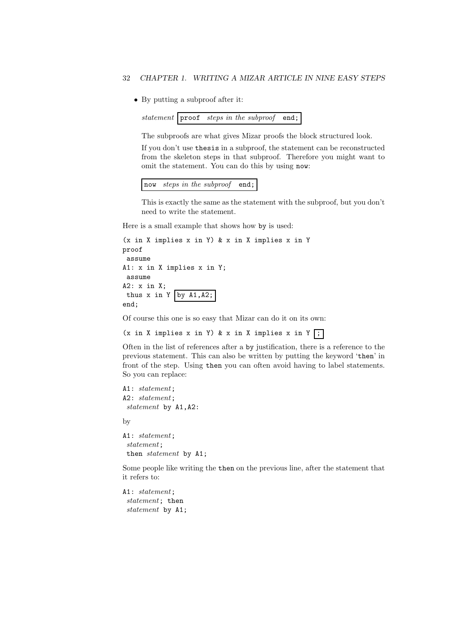• By putting a subproof after it:

| statement proof steps in the subproof end; |
|--------------------------------------------|
|--------------------------------------------|

The subproofs are what gives Mizar proofs the block structured look.

If you don't use thesis in a subproof, the statement can be reconstructed from the skeleton steps in that subproof. Therefore you might want to omit the statement. You can do this by using now:

now steps in the subproof end;

This is exactly the same as the statement with the subproof, but you don't need to write the statement.

Here is a small example that shows how by is used:

```
(x in X implies x in Y) & x in X implies x in Y
proof
assume
A1: x in X implies x in Y;
assume
A2: x in X;
thus x in Y by A1, A2;
end;
```
Of course this one is so easy that Mizar can do it on its own:

```
(x in X implies x in Y) & x in X implies x in Y \boxed{;}
```
Often in the list of references after a by justification, there is a reference to the previous statement. This can also be written by putting the keyword 'then' in front of the step. Using then you can often avoid having to label statements. So you can replace:

```
A1: statement;
A2: statement;
statement by A1, A2:
```
by

```
A1: statement;
statement;
then statement by A1;
```
Some people like writing the then on the previous line, after the statement that it refers to:

```
A1: statement;
 statement; then
 statement by A1;
```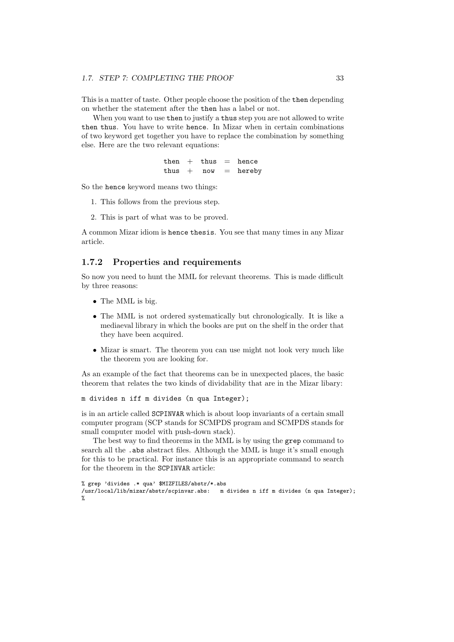This is a matter of taste. Other people choose the position of the then depending on whether the statement after the then has a label or not.

When you want to use then to justify a thus step you are not allowed to write then thus. You have to write hence. In Mizar when in certain combinations of two keyword get together you have to replace the combination by something else. Here are the two relevant equations:

> $then + thus = hence$ thus  $+$  now  $=$  hereby

So the hence keyword means two things:

- 1. This follows from the previous step.
- 2. This is part of what was to be proved.

A common Mizar idiom is hence thesis. You see that many times in any Mizar article.

#### 1.7.2 Properties and requirements

So now you need to hunt the MML for relevant theorems. This is made difficult by three reasons:

- The MML is big.
- The MML is not ordered systematically but chronologically. It is like a mediaeval library in which the books are put on the shelf in the order that they have been acquired.
- Mizar is smart. The theorem you can use might not look very much like the theorem you are looking for.

As an example of the fact that theorems can be in unexpected places, the basic theorem that relates the two kinds of dividability that are in the Mizar libary:

```
m divides n iff m divides (n qua Integer);
```
is in an article called SCPINVAR which is about loop invariants of a certain small computer program (SCP stands for SCMPDS program and SCMPDS stands for small computer model with push-down stack).

The best way to find theorems in the MML is by using the grep command to search all the .abs abstract files. Although the MML is huge it's small enough for this to be practical. For instance this is an appropriate command to search for the theorem in the SCPINVAR article:

% grep 'divides .\* qua' \$MIZFILES/abstr/\*.abs /usr/local/lib/mizar/abstr/scpinvar.abs: m divides n iff m divides (n qua Integer);  $\mathcal{O}'$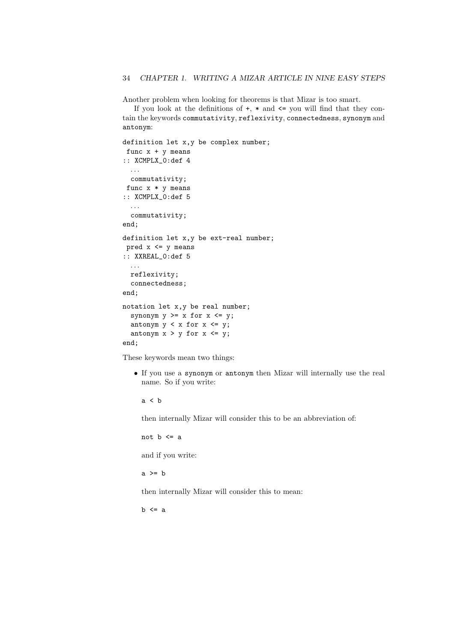#### 34 CHAPTER 1. WRITING A MIZAR ARTICLE IN NINE EASY STEPS

Another problem when looking for theorems is that Mizar is too smart.

If you look at the definitions of  $+$ ,  $*$  and  $\leq$  you will find that they contain the keywords commutativity, reflexivity, connectedness, synonym and antonym:

```
definition let x,y be complex number;
func x + y means
:: XCMPLX_0:def 4
  . . .
  commutativity;
 func x * y means
:: XCMPLX_0:def 5
  . . .
  commutativity;
end;
definition let x,y be ext-real number;
pred x \le y means
:: XXREAL_0:def 5
  . . .
 reflexivity;
  connectedness;
end;
notation let x,y be real number;
  synonym y \geq x for x \leq y;
  antonym y < x for x \le y;
  antonym x > y for x \le y;
end;
```
These keywords mean two things:

• If you use a synonym or antonym then Mizar will internally use the real name. So if you write:

a < b

then internally Mizar will consider this to be an abbreviation of:

```
not b \leq a
```
and if you write:

 $a \geq b$ 

then internally Mizar will consider this to mean:

 $b \leq a$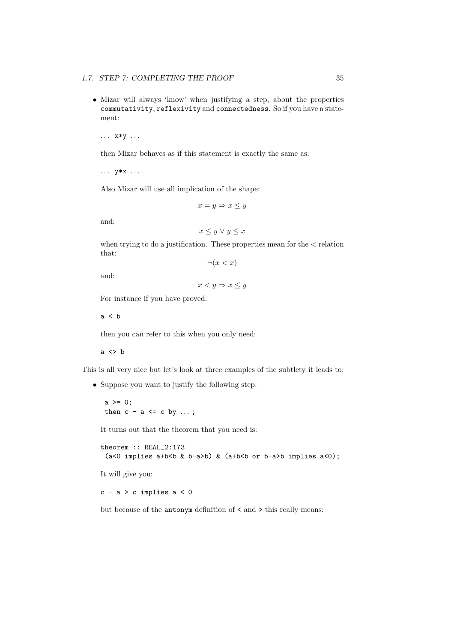• Mizar will always 'know' when justifying a step, about the properties commutativity, reflexivity and connectedness. So if you have a statement:

. . . x\*y . . .

then Mizar behaves as if this statement is exactly the same as:

. . . y\*x . . .

Also Mizar will use all implication of the shape:

$$
x = y \Rightarrow x \le y
$$

and:

$$
x \le y \lor y \le x
$$

when trying to do a justification. These properties mean for the  $\lt$  relation that:

 $\neg(x < x)$ 

and:

$$
x < y \Rightarrow x \le y
$$

For instance if you have proved:

a < b

then you can refer to this when you only need:

 $a \Leftrightarrow b$ 

This is all very nice but let's look at three examples of the subtlety it leads to:

• Suppose you want to justify the following step:

 $a \ge 0$ ; then  $c - a \leq c$  by  $\dots$ ;

It turns out that the theorem that you need is:

```
theorem :: REAL_2:173
 (a<0 implies a+b<br/>b> & b-a>b) & (a+b<br/>b> or b-a>b implies a<0);
```
It will give you:

 $c - a > c$  implies  $a < 0$ 

but because of the antonym definition of < and > this really means: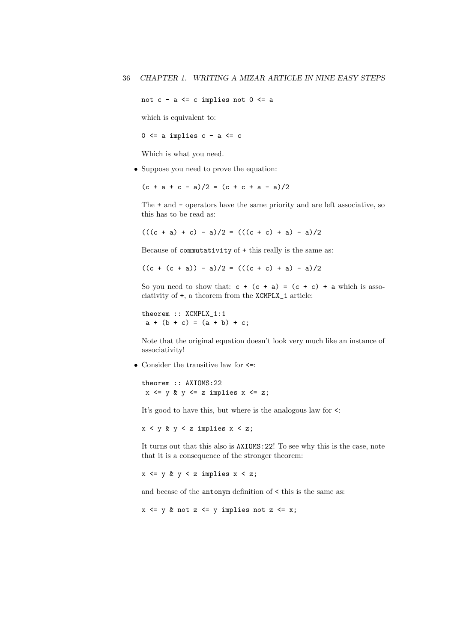not  $c - a \leq c$  implies not  $0 \leq a$ 

which is equivalent to:

 $0 \leq a$  implies  $c - a \leq c$ 

Which is what you need.

• Suppose you need to prove the equation:

 $(c + a + c - a)/2 = (c + c + a - a)/2$ 

The + and - operators have the same priority and are left associative, so this has to be read as:

 $(((c + a) + c) - a)/2 = (((c + c) + a) - a)/2$ 

Because of commutativity of + this really is the same as:

 $((c + (c + a)) - a)/2 = (((c + c) + a) - a)/2$ 

So you need to show that:  $c + (c + a) = (c + c) + a$  which is associativity of +, a theorem from the XCMPLX\_1 article:

theorem :: XCMPLX\_1:1  $a + (b + c) = (a + b) + c;$ 

Note that the original equation doesn't look very much like an instance of associativity!

• Consider the transitive law for <=:

theorem :: AXIOMS:22  $x \leq y \& y \leq z$  implies  $x \leq z$ ;

It's good to have this, but where is the analogous law for  $\leq$ :

 $x < y$  &  $y < z$  implies  $x < z$ ;

It turns out that this also is AXIOMS:22! To see why this is the case, note that it is a consequence of the stronger theorem:

 $x \leq y \& y \leq z$  implies  $x \leq z$ ;

and becase of the antonym definition of < this is the same as:

 $x \leq y \leq x$  not  $z \leq y$  implies not  $z \leq x$ ;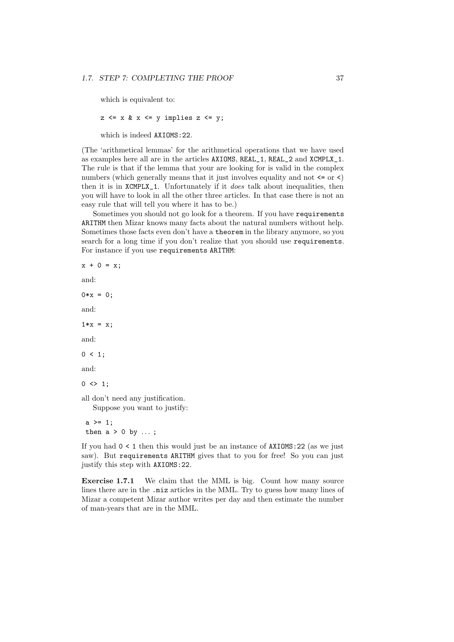which is equivalent to:

 $z \leq x \& x \leq y$  implies  $z \leq y$ ;

which is indeed AXIOMS:22.

(The 'arithmetical lemmas' for the arithmetical operations that we have used as examples here all are in the articles AXIOMS, REAL\_1, REAL\_2 and XCMPLX\_1. The rule is that if the lemma that your are looking for is valid in the complex numbers (which generally means that it just involves equality and not  $\leq$  or  $\leq$ ) then it is in XCMPLX<sub>1</sub>1. Unfortunately if it *does* talk about inequalities, then you will have to look in all the other three articles. In that case there is not an easy rule that will tell you where it has to be.)

Sometimes you should not go look for a theorem. If you have requirements ARITHM then Mizar knows many facts about the natural numbers without help. Sometimes those facts even don't have a theorem in the library anymore, so you search for a long time if you don't realize that you should use requirements. For instance if you use requirements ARITHM:

 $x + 0 = x$ ; and:  $0*x = 0;$ and:  $1 * x = x;$ and:  $0 < 1$ ; and:  $0 \leq 1$ ; all don't need any justification. Suppose you want to justify:  $a \ge 1$ :

then  $a > 0$  by  $\dots$ ;

If you had 0 < 1 then this would just be an instance of AXIOMS:22 (as we just saw). But requirements ARITHM gives that to you for free! So you can just justify this step with AXIOMS:22.

Exercise 1.7.1 We claim that the MML is big. Count how many source lines there are in the .miz articles in the MML. Try to guess how many lines of Mizar a competent Mizar author writes per day and then estimate the number of man-years that are in the MML.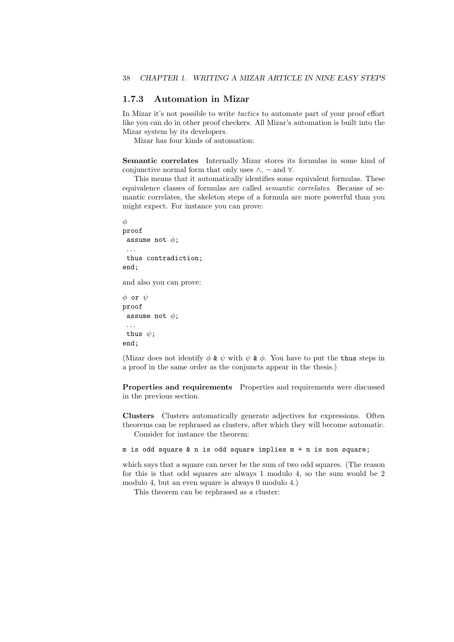#### 1.7.3 Automation in Mizar

In Mizar it's not possible to write *tactics* to automate part of your proof effort like you can do in other proof checkers. All Mizar's automation is built into the Mizar system by its developers.

Mizar has four kinds of automation:

Semantic correlates Internally Mizar stores its formulas in some kind of conjunctive normal form that only uses  $\wedge$ ,  $\neg$  and  $\forall$ .

This means that it automatically identifies some equivalent formulas. These equivalence classes of formulas are called semantic correlates. Because of semantic correlates, the skeleton steps of a formula are more powerful than you might expect. For instance you can prove:

```
φ
proof
 assume not \phi;
 . . .
 thus contradiction;
end;
and also you can prove:
\phi or \psiproof
```

```
assume not \phi;
 . . .
 thus \psi:
end;
```
(Mizar does not identify  $\phi \& \psi$  with  $\psi \& \phi$ . You have to put the thus steps in a proof in the same order as the conjuncts appear in the thesis.)

Properties and requirements Properties and requirements were discussed in the previous section.

Clusters Clusters automatically generate adjectives for expressions. Often theorems can be rephrased as clusters, after which they will become automatic. Consider for instance the theorem:

m is odd square & n is odd square implies m + n is non square;

which says that a square can never be the sum of two odd squares. (The reason for this is that odd squares are always 1 modulo 4, so the sum would be 2 modulo 4, but an even square is always 0 modulo 4.)

This theorem can be rephrased as a cluster: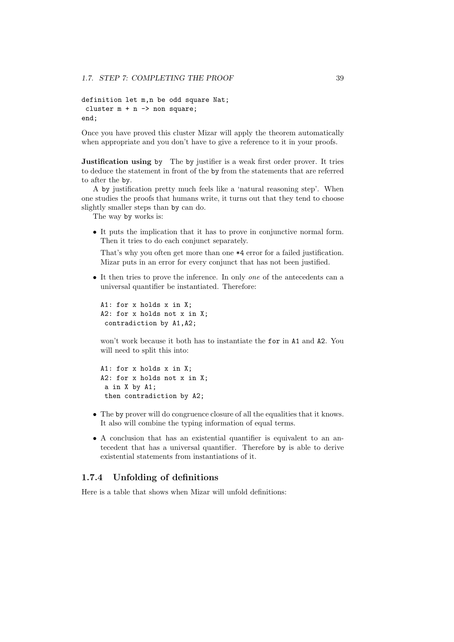```
definition let m,n be odd square Nat;
 cluster m + n \rightarrow non square;
end;
```
Once you have proved this cluster Mizar will apply the theorem automatically when appropriate and you don't have to give a reference to it in your proofs.

Justification using by The by justifier is a weak first order prover. It tries to deduce the statement in front of the by from the statements that are referred to after the by.

A by justification pretty much feels like a 'natural reasoning step'. When one studies the proofs that humans write, it turns out that they tend to choose slightly smaller steps than by can do.

The way by works is:

• It puts the implication that it has to prove in conjunctive normal form. Then it tries to do each conjunct separately.

That's why you often get more than one \*4 error for a failed justification. Mizar puts in an error for every conjunct that has not been justified.

• It then tries to prove the inference. In only one of the antecedents can a universal quantifier be instantiated. Therefore:

```
A1: for x holds x in X;
A2: for x holds not x in X;
contradiction by A1,A2;
```
won't work because it both has to instantiate the for in A1 and A2. You will need to split this into:

```
A1: for x holds x in X;
A2: for x holds not x in X;
 a in X by A1;
 then contradiction by A2;
```
- The by prover will do congruence closure of all the equalities that it knows. It also will combine the typing information of equal terms.
- A conclusion that has an existential quantifier is equivalent to an antecedent that has a universal quantifier. Therefore by is able to derive existential statements from instantiations of it.

#### 1.7.4 Unfolding of definitions

Here is a table that shows when Mizar will unfold definitions: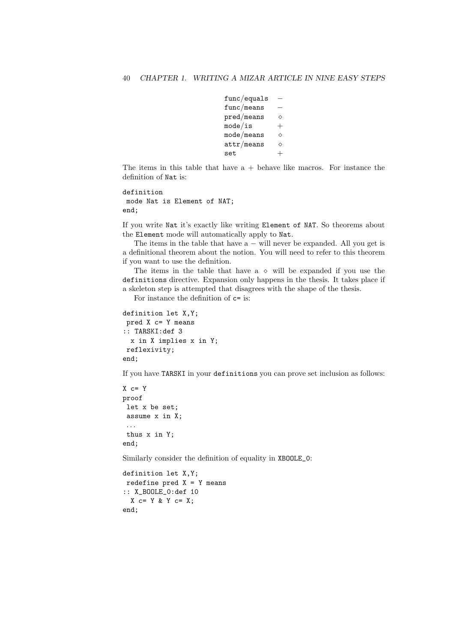$func/equals$ func/means  $-\frac{1}{2}$ <br>pred/means  $\diamond$  $pred/means$  <br>  $mode/is$  +  $mode/is$ mode/means  $\diamond$ <br>attr/means  $\diamond$ attr/means ⋄ set

The items in this table that have  $a + b$  behave like macros. For instance the definition of Nat is:

```
definition
mode Nat is Element of NAT;
end;
```
If you write Nat it's exactly like writing Element of NAT. So theorems about the Element mode will automatically apply to Nat.

The items in the table that have  $a - will$  never be expanded. All you get is a definitional theorem about the notion. You will need to refer to this theorem if you want to use the definition.

The items in the table that have a  $\diamond$  will be expanded if you use the definitions directive. Expansion only happens in the thesis. It takes place if a skeleton step is attempted that disagrees with the shape of the thesis.

For instance the definition of  $c=$  is:

```
definition let X,Y;
pred X c= Y means
:: TARSKI:def 3
 x in X implies x in Y;
reflexivity;
end;
```
If you have TARSKI in your definitions you can prove set inclusion as follows:

```
X C= Yproof
let x be set;
assume x in X;
. . .
thus x in Y;
end;
```
Similarly consider the definition of equality in XBOOLE\_0:

```
definition let X,Y;
redefine pred X = Y means
:: X_BOOLE_0:def 10
 X c= Y & Y c= X;
end;
```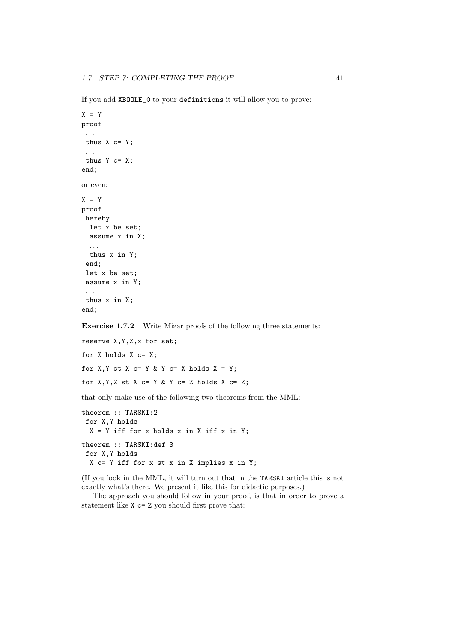If you add XBOOLE\_0 to your definitions it will allow you to prove:

```
X = Yproof
. . .
 thus X c = Y;
 . . .
 thus Y c= X;
end;
or even:
X = Yproof
hereby
  let x be set;
  assume x in X;
  . . .
  thus x in Y;
 end;
 let x be set;
 assume x in Y;
 . . .
 thus x in X;
end;
```
Exercise 1.7.2 Write Mizar proofs of the following three statements:

reserve X,Y,Z,x for set; for X holds X c= X; for  $X, Y$  st  $X$  c=  $Y$  &  $Y$  c=  $X$  holds  $X = Y$ ; for  $X, Y, Z$  st  $X$  c=  $Y$  &  $Y$  c=  $Z$  holds  $X$  c=  $Z$ ; that only make use of the following two theorems from the MML:

```
theorem :: TARSKI:2
for X,Y holds
 X = Y iff for x holds x in X iff x in Y;
theorem :: TARSKI:def 3
 for X,Y holds
 X c= Y iff for x st x in X implies x in Y;
```
(If you look in the MML, it will turn out that in the TARSKI article this is not exactly what's there. We present it like this for didactic purposes.)

The approach you should follow in your proof, is that in order to prove a statement like X c= Z you should first prove that: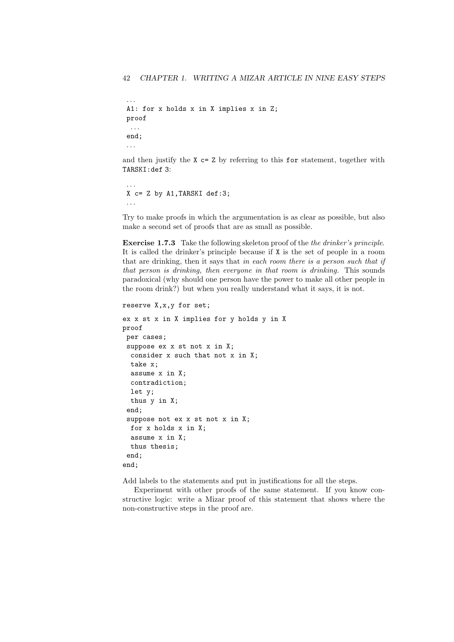```
. . .
A1: for x holds x in X implies x in Z;
proof
 . . .
end;
. . .
```
and then justify the  $X \subset Z$  by referring to this for statement, together with TARSKI:def 3:

```
X c= Z by A1,TARSKI def:3;
. . .
```
. . .

Try to make proofs in which the argumentation is as clear as possible, but also make a second set of proofs that are as small as possible.

Exercise 1.7.3 Take the following skeleton proof of the the drinker's principle. It is called the drinker's principle because if X is the set of people in a room that are drinking, then it says that in each room there is a person such that if that person is drinking, then everyone in that room is drinking. This sounds paradoxical (why should one person have the power to make all other people in the room drink?) but when you really understand what it says, it is not.

```
reserve X,x,y for set;
```

```
ex x st x in X implies for y holds y in X
proof
 per cases;
 suppose ex x st not x in X;
  consider x such that not x in X;
  take x;
  assume x in X;
  contradiction;
  let y;
 thus y in X;
 end;
 suppose not ex x st not x in X;
  for x holds x in X;
  assume x in X;
  thus thesis;
 end;
end;
```
Add labels to the statements and put in justifications for all the steps.

Experiment with other proofs of the same statement. If you know constructive logic: write a Mizar proof of this statement that shows where the non-constructive steps in the proof are.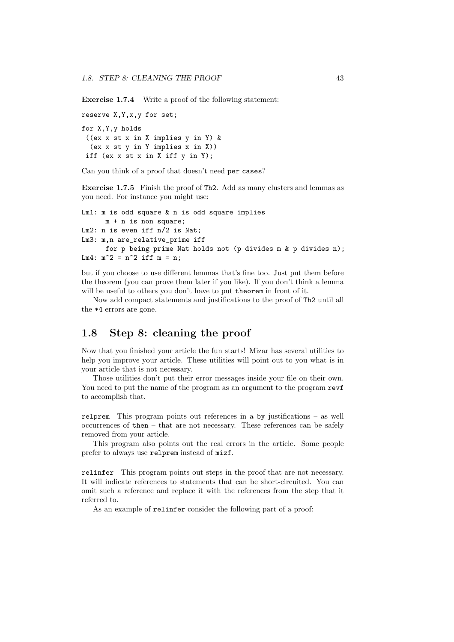Exercise 1.7.4 Write a proof of the following statement:

```
reserve X,Y,x,y for set;
for X,Y,y holds
 ((ex x st x in X implies y in Y) &
  (ex x st y in Y implies x in X))
 iff (ex x st x in X iff y in Y);
```
Can you think of a proof that doesn't need per cases?

Exercise 1.7.5 Finish the proof of Th2. Add as many clusters and lemmas as you need. For instance you might use:

```
Lm1: m is odd square & n is odd square implies
     m + n is non square;
Lm2: n is even iff n/2 is Nat;
Lm3: m,n are_relative_prime iff
      for p being prime Nat holds not (p divides m & p divides n);
Lm4: m^2 = n^2 iff m = n;
```
but if you choose to use different lemmas that's fine too. Just put them before the theorem (you can prove them later if you like). If you don't think a lemma will be useful to others you don't have to put theorem in front of it.

Now add compact statements and justifications to the proof of Th2 until all the \*4 errors are gone.

## 1.8 Step 8: cleaning the proof

Now that you finished your article the fun starts! Mizar has several utilities to help you improve your article. These utilities will point out to you what is in your article that is not necessary.

Those utilities don't put their error messages inside your file on their own. You need to put the name of the program as an argument to the program revf to accomplish that.

relprem This program points out references in a by justifications – as well occurrences of then – that are not necessary. These references can be safely removed from your article.

This program also points out the real errors in the article. Some people prefer to always use relprem instead of mizf.

relinfer This program points out steps in the proof that are not necessary. It will indicate references to statements that can be short-circuited. You can omit such a reference and replace it with the references from the step that it referred to.

As an example of relinfer consider the following part of a proof: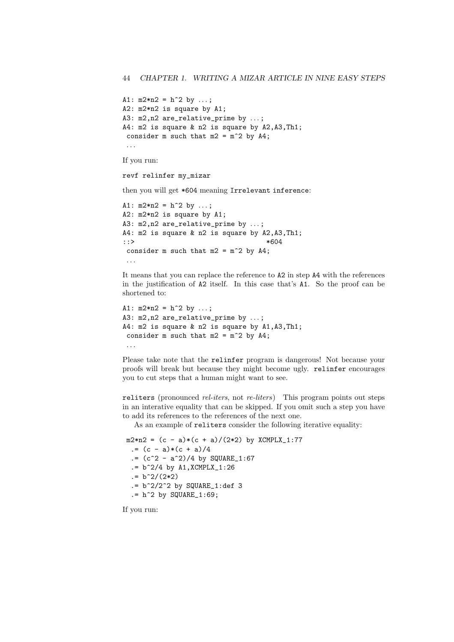```
44 CHAPTER 1. WRITING A MIZAR ARTICLE IN NINE EASY STEPS
A1: m2*n2 = h^2 by ...;A2: m2*n2 is square by A1;
A3: m2, n2 are_relative_prime by ...;
A4: m2 is square & n2 is square by A2,A3,Th1;
consider m such that m2 = m^2 by A4;
 . . .
If you run:
revf relinfer my_mizar
then you will get *604 meaning Irrelevant inference:
A1: m2*n2 = h^2 by ...;
A2: m2*n2 is square by A1;
A3: m2, n2 are_relative_prime by ...;
A4: m2 is square & n2 is square by A2,A3,Th1;
::> *604
consider m such that m2 = m^2 by A4;
 . . .
```
It means that you can replace the reference to A2 in step A4 with the references in the justification of A2 itself. In this case that's A1. So the proof can be shortened to:

```
A1: m2*n2 = h^2 by ...;A3: m2, n2 are_relative_prime by ...;
A4: m2 is square & n2 is square by A1,A3,Th1;
consider m such that m2 = m^2 by A4;
. . .
```
Please take note that the relinfer program is dangerous! Not because your proofs will break but because they might become ugly. relinfer encourages you to cut steps that a human might want to see.

reliters (pronounced *rel-iters*, not *re-liters*) This program points out steps in an interative equality that can be skipped. If you omit such a step you have to add its references to the references of the next one.

As an example of reliters consider the following iterative equality:

```
m2*n2 = (c - a)*(c + a)/(2*2) by XCMPLX_1:77
 .= (c - a)*(c + a)/4.= (c^2 - a^2)/4 by SQUARE_1:67
 .5 - b^2/4 by A1, XCMPLX<sub>-1</sub>:26
 . = b^2/(2*2).- b^2/2^2 by SQUARE_1:def 3
 . = h^2 by SQUARE_1:69;
```
If you run: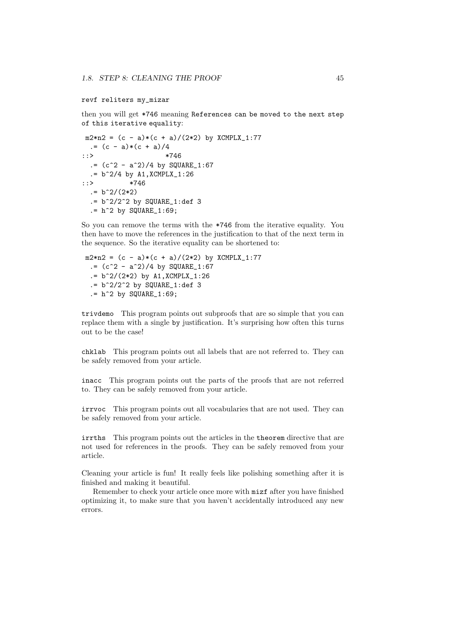#### revf reliters my\_mizar

then you will get \*746 meaning References can be moved to the next step of this iterative equality:

```
m2*n2 = (c - a)*(c + a)/(2*2) by XCMPLX_1:77
 .= (c - a)*(c + a)/4::> *746
 .=(c^2 - a^2)/4 by SQUARE 1:67
 .= b^2/4 by A1,XCMPLX_1:26
::> *746
 . = b^2/(2*2).- b^2/2^2 by SQUARE_1:def 3
 .- h<sup>2</sup> by SQUARE<sub>1:69;</sub>
```
So you can remove the terms with the \*746 from the iterative equality. You then have to move the references in the justification to that of the next term in the sequence. So the iterative equality can be shortened to:

 $m2*n2 = (c - a)*(c + a)/(2*2)$  by XCMPLX\_1:77  $.=(c^2 - a^2)/4$  by SQUARE\_1:67  $.5 - b^2/(2*2)$  by A1, XCMPLX\_1:26  $.-$  b^2/2^2 by SQUARE\_1:def 3 .= h^2 by SQUARE\_1:69;

trivdemo This program points out subproofs that are so simple that you can replace them with a single by justification. It's surprising how often this turns out to be the case!

chklab This program points out all labels that are not referred to. They can be safely removed from your article.

inacc This program points out the parts of the proofs that are not referred to. They can be safely removed from your article.

irrvoc This program points out all vocabularies that are not used. They can be safely removed from your article.

irrths This program points out the articles in the theorem directive that are not used for references in the proofs. They can be safely removed from your article.

Cleaning your article is fun! It really feels like polishing something after it is finished and making it beautiful.

Remember to check your article once more with mizf after you have finished optimizing it, to make sure that you haven't accidentally introduced any new errors.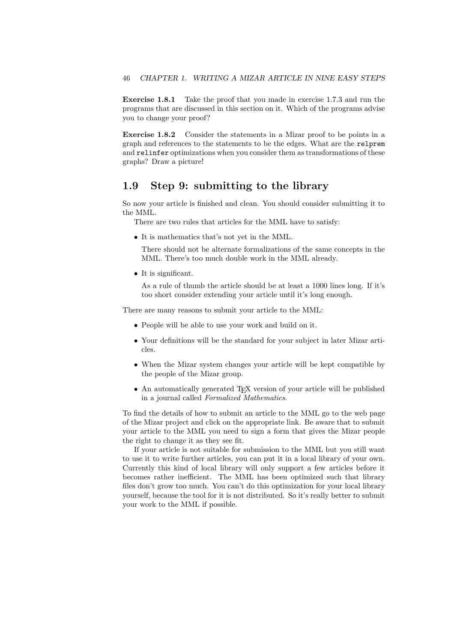Exercise 1.8.1 Take the proof that you made in exercise 1.7.3 and run the programs that are discussed in this section on it. Which of the programs advise you to change your proof?

Exercise 1.8.2 Consider the statements in a Mizar proof to be points in a graph and references to the statements to be the edges. What are the relprem and relinfer optimizations when you consider them as transformations of these graphs? Draw a picture!

## 1.9 Step 9: submitting to the library

So now your article is finished and clean. You should consider submitting it to the MML.

There are two rules that articles for the MML have to satisfy:

• It is mathematics that's not yet in the MML.

There should not be alternate formalizations of the same concepts in the MML. There's too much double work in the MML already.

• It is significant.

As a rule of thumb the article should be at least a 1000 lines long. If it's too short consider extending your article until it's long enough.

There are many reasons to submit your article to the MML:

- People will be able to use your work and build on it.
- Your definitions will be the standard for your subject in later Mizar articles.
- When the Mizar system changes your article will be kept compatible by the people of the Mizar group.
- An automatically generated T<sub>EX</sub> version of your article will be published in a journal called Formalized Mathematics.

To find the details of how to submit an article to the MML go to the web page of the Mizar project and click on the appropriate link. Be aware that to submit your article to the MML you need to sign a form that gives the Mizar people the right to change it as they see fit.

If your article is not suitable for submission to the MML but you still want to use it to write further articles, you can put it in a local library of your own. Currently this kind of local library will only support a few articles before it becomes rather inefficient. The MML has been optimized such that library files don't grow too much. You can't do this optimization for your local library yourself, because the tool for it is not distributed. So it's really better to submit your work to the MML if possible.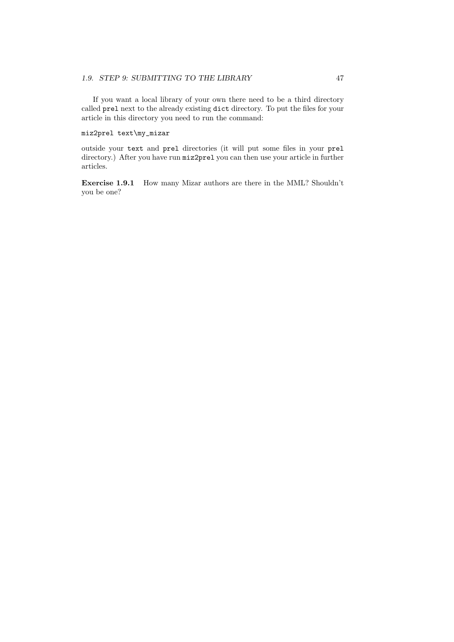#### 1.9. STEP 9: SUBMITTING TO THE LIBRARY 47

If you want a local library of your own there need to be a third directory called prel next to the already existing dict directory. To put the files for your article in this directory you need to run the command:

#### miz2prel text\my\_mizar

outside your text and prel directories (it will put some files in your prel directory.) After you have run miz2prel you can then use your article in further articles.

Exercise 1.9.1 How many Mizar authors are there in the MML? Shouldn't you be one?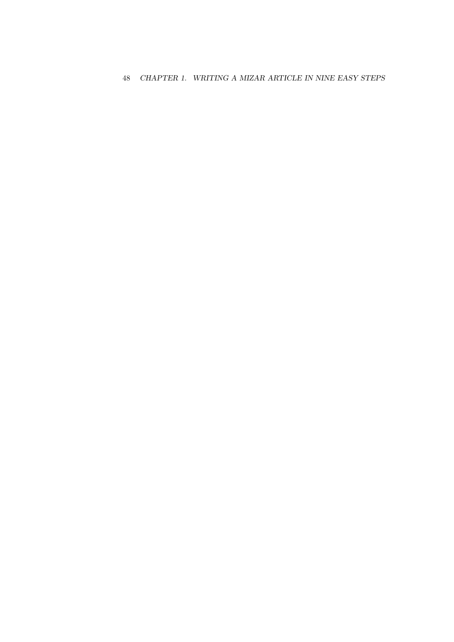CHAPTER 1. WRITING A MIZAR ARTICLE IN NINE EASY STEPS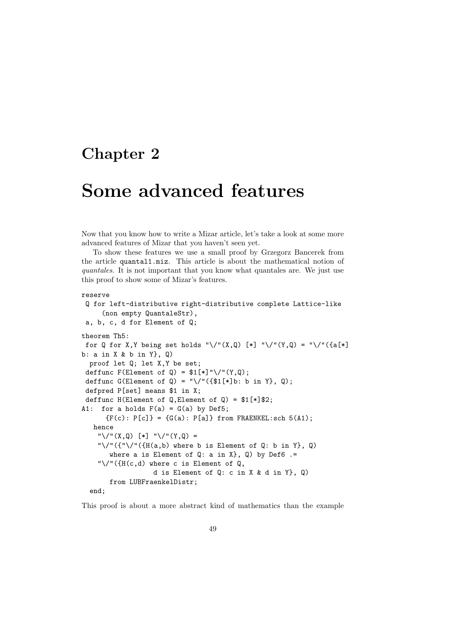## Chapter 2

# Some advanced features

Now that you know how to write a Mizar article, let's take a look at some more advanced features of Mizar that you haven't seen yet.

To show these features we use a small proof by Grzegorz Bancerek from the article quantal1.miz. This article is about the mathematical notion of quantales. It is not important that you know what quantales are. We just use this proof to show some of Mizar's features.

```
reserve
Q for left-distributive right-distributive complete Lattice-like
     (non empty QuantaleStr),
a, b, c, d for Element of Q;
theorem Th5:
for Q for X, Y being set holds "\/"(X,Q) [*] "\/"(Y,Q) = "\/"({a[*]
b: a in X & b in Y}, Q)
 proof let Q; let X,Y be set;
deffunc F(Element of Q) = $1[*] "\sqrt"(Y,Q);deffunc G(Element of Q) = "\sqrt{"({$1[*]}b: b in Y}, Q);defpred P[set] means $1 in X;
deffunc H(Element of Q, Element of Q) = $1[*]$2;A1: for a holds F(a) = G(a) by Def5;
      {F(c): P[c]} = {G(a): P[a]} from FRAENKEL:sch 5(A1);
  hence
    "\ \\/"\ (X,Q) [*] "\ \\/"\ (Y,Q) ="\\/"({"\/"({H(a,b) where b is Element of Q: b in Y}, Q)
       where a is Element of Q: a in X}, Q) by Def6 .=
    "\/"({H(c,d) where c is Element of Q,
                  d is Element of Q: c in X & d in Y}, Q)
       from LUBFraenkelDistr;
  end;
```
This proof is about a more abstract kind of mathematics than the example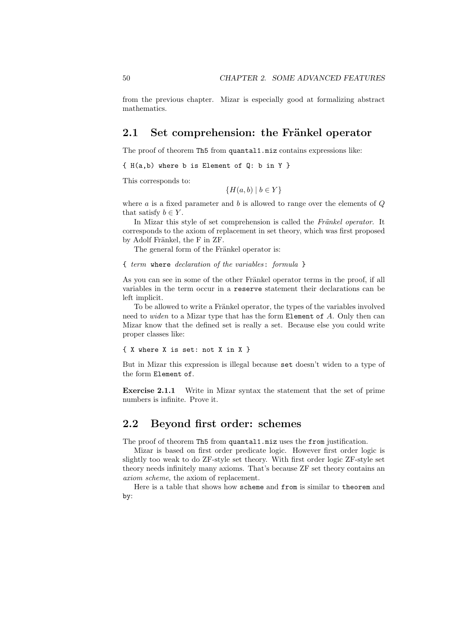from the previous chapter. Mizar is especially good at formalizing abstract mathematics.

## 2.1 Set comprehension: the Fränkel operator

The proof of theorem Th5 from quantal1.miz contains expressions like:

{ H(a,b) where b is Element of Q: b in Y }

This corresponds to:

$$
\{H(a,b) \mid b \in Y\}
$$

where  $a$  is a fixed parameter and  $b$  is allowed to range over the elements of  $Q$ that satisfy  $b \in Y$ .

In Mizar this style of set comprehension is called the Fränkel operator. It corresponds to the axiom of replacement in set theory, which was first proposed by Adolf Fränkel, the F in ZF.

The general form of the Fränkel operator is:

{ term where declaration of the variables: formula }

As you can see in some of the other Fränkel operator terms in the proof, if all variables in the term occur in a reserve statement their declarations can be left implicit.

To be allowed to write a Fränkel operator, the types of the variables involved need to *widen* to a Mizar type that has the form **Element** of A. Only then can Mizar know that the defined set is really a set. Because else you could write proper classes like:

#### { X where X is set: not X in X }

But in Mizar this expression is illegal because set doesn't widen to a type of the form Element of.

Exercise 2.1.1 Write in Mizar syntax the statement that the set of prime numbers is infinite. Prove it.

## 2.2 Beyond first order: schemes

The proof of theorem Th5 from quantal1.miz uses the from justification.

Mizar is based on first order predicate logic. However first order logic is slightly too weak to do ZF-style set theory. With first order logic ZF-style set theory needs infinitely many axioms. That's because ZF set theory contains an axiom scheme, the axiom of replacement.

Here is a table that shows how scheme and from is similar to theorem and by: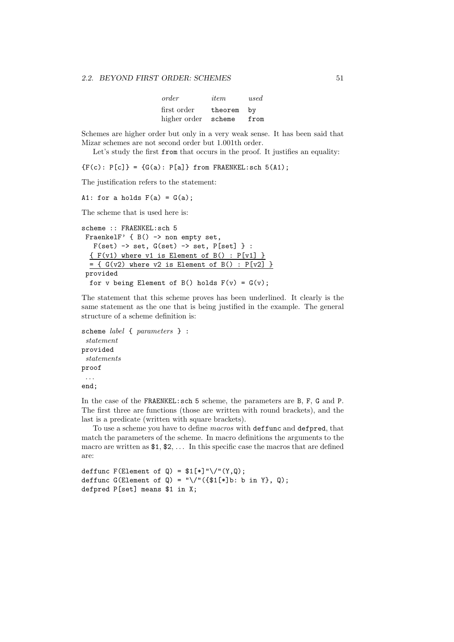| order        | <i>item</i> | used |
|--------------|-------------|------|
| first order  | theorem     | bv   |
| higher order | scheme      | from |

Schemes are higher order but only in a very weak sense. It has been said that Mizar schemes are not second order but 1.001th order.

Let's study the first from that occurs in the proof. It justifies an equality:

 ${F(c): P[c]} = {G(a): P[a]}$  from FRAENKEL:sch 5(A1);

The justification refers to the statement:

A1: for a holds  $F(a) = G(a)$ ;

The scheme that is used here is:

```
scheme :: FRAENKEL:sch 5
FraenkelF' { B() -> non empty set,
  F(set) \rightarrow set, G(set) \rightarrow set, P[set] } :
  {F(v1)} where v1 is Element of B() : P[v1]{G(v2)} where v2 is Element of B() : P[v2]
provided
  for v being Element of B() holds F(v) = G(v);
```
The statement that this scheme proves has been underlined. It clearly is the same statement as the one that is being justified in the example. The general structure of a scheme definition is:

```
scheme label { parameters } :
 statement
provided
 statements
proof
 . . .
end;
```
In the case of the FRAENKEL:sch 5 scheme, the parameters are B, F, G and P. The first three are functions (those are written with round brackets), and the last is a predicate (written with square brackets).

To use a scheme you have to define macros with deffunc and defpred, that match the parameters of the scheme. In macro definitions the arguments to the macro are written as  $$1, $2, \ldots$  In this specific case the macros that are defined are:

deffunc  $F(Element of Q) = $1[*] "\sqrt"(Y,Q);$ deffunc  $G(Element of Q) = "\sqrt{"({$1[*]}b: b in Y}, Q);$ defpred P[set] means \$1 in X;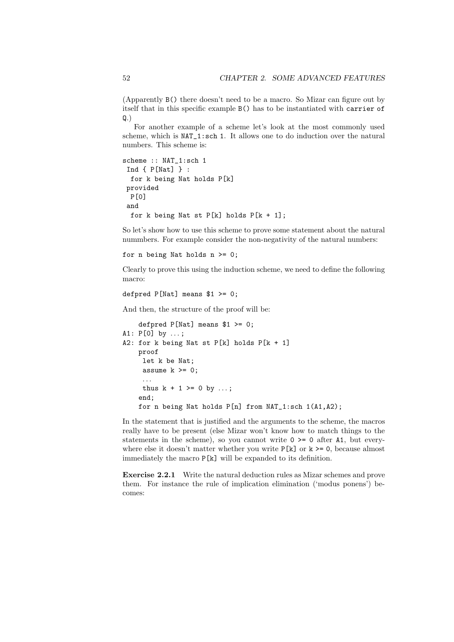(Apparently B() there doesn't need to be a macro. So Mizar can figure out by itself that in this specific example B() has to be instantiated with carrier of Q.)

For another example of a scheme let's look at the most commonly used scheme, which is NAT\_1:sch 1. It allows one to do induction over the natural numbers. This scheme is:

```
scheme :: NAT_1:sch 1
Ind { P[Nat] } :
 for k being Nat holds P[k]
provided
 P[0]
and
 for k being Nat st P[k] holds P[k + 1];
```
So let's show how to use this scheme to prove some statement about the natural nummbers. For example consider the non-negativity of the natural numbers:

```
for n being Nat holds n \geq 0;
```
Clearly to prove this using the induction scheme, we need to define the following macro:

```
defpred P[Nat] means $1 > = 0;
```
And then, the structure of the proof will be:

```
defpred P[Nat] means $1 > = 0;A1: P[0] by \ldots;
A2: for k being Nat st P[k] holds P[k + 1]proof
     let k be Nat;
     assume k \geq 0;
     . . .
     thus k + 1 >= 0 by ...;
    end;
    for n being Nat holds P[n] from NAT_1:sch 1(A1,A2);
```
In the statement that is justified and the arguments to the scheme, the macros really have to be present (else Mizar won't know how to match things to the statements in the scheme), so you cannot write  $0 \ge 0$  after A1, but everywhere else it doesn't matter whether you write  $P[k]$  or  $k \ge 0$ , because almost immediately the macro P[k] will be expanded to its definition.

Exercise 2.2.1 Write the natural deduction rules as Mizar schemes and prove them. For instance the rule of implication elimination ('modus ponens') becomes: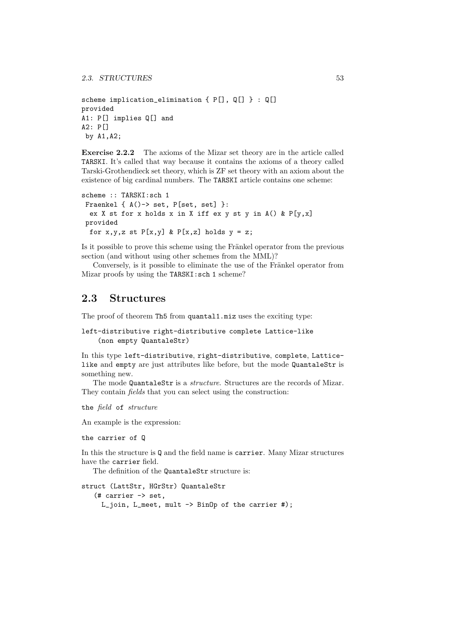```
scheme implication_elimination \{ P[], Q[] \}: Q[]provided
A1: P[] implies Q[] and
A2: P[]
by A1,A2;
```
Exercise 2.2.2 The axioms of the Mizar set theory are in the article called TARSKI. It's called that way because it contains the axioms of a theory called Tarski-Grothendieck set theory, which is ZF set theory with an axiom about the existence of big cardinal numbers. The TARSKI article contains one scheme:

```
scheme :: TARSKI:sch 1
Fraenkel { A()-> set, P[set, set] }:
 ex X st for x holds x in X iff ex y st y in A() & P[y, x]provided
 for x,y,z st P[x,y] & P[x,z] holds y = z;
```
Is it possible to prove this scheme using the Fränkel operator from the previous section (and without using other schemes from the MML)?

Conversely, is it possible to eliminate the use of the Fränkel operator from Mizar proofs by using the TARSKI:sch 1 scheme?

## 2.3 Structures

The proof of theorem Th5 from quantal1.miz uses the exciting type:

```
left-distributive right-distributive complete Lattice-like
    (non empty QuantaleStr)
```
In this type left-distributive, right-distributive, complete, Latticelike and empty are just attributes like before, but the mode QuantaleStr is something new.

The mode QuantaleStr is a *structure*. Structures are the records of Mizar. They contain *fields* that you can select using the construction:

the field of structure

An example is the expression:

the carrier of Q

In this the structure is Q and the field name is carrier. Many Mizar structures have the carrier field.

The definition of the QuantaleStr structure is:

```
struct (LattStr, HGrStr) QuantaleStr
   (# carrier -> set,
    L_join, L_meet, mult -> BinOp of the carrier #);
```